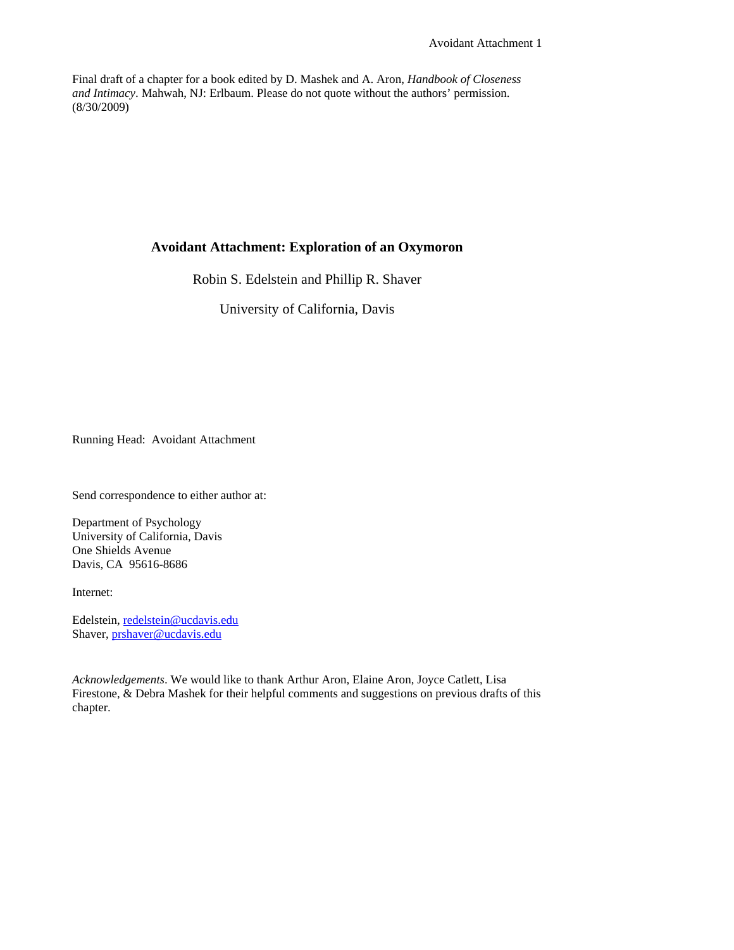Final draft of a chapter for a book edited by D. Mashek and A. Aron, *Handbook of Closeness and Intimacy*. Mahwah, NJ: Erlbaum. Please do not quote without the authors' permission. (8/30/2009)

## **Avoidant Attachment: Exploration of an Oxymoron**

Robin S. Edelstein and Phillip R. Shaver

University of California, Davis

Running Head: Avoidant Attachment

Send correspondence to either author at:

Department of Psychology University of California, Davis One Shields Avenue Davis, CA 95616-8686

Internet:

Edelstein, [redelstein@ucdavis.edu](mailto:redelstein@ucdavis.edu) Shaver, [prshaver@ucdavis.edu](mailto:prshaver@ucdavis.edu)

*Acknowledgements*. We would like to thank Arthur Aron, Elaine Aron, Joyce Catlett, Lisa Firestone, & Debra Mashek for their helpful comments and suggestions on previous drafts of this chapter.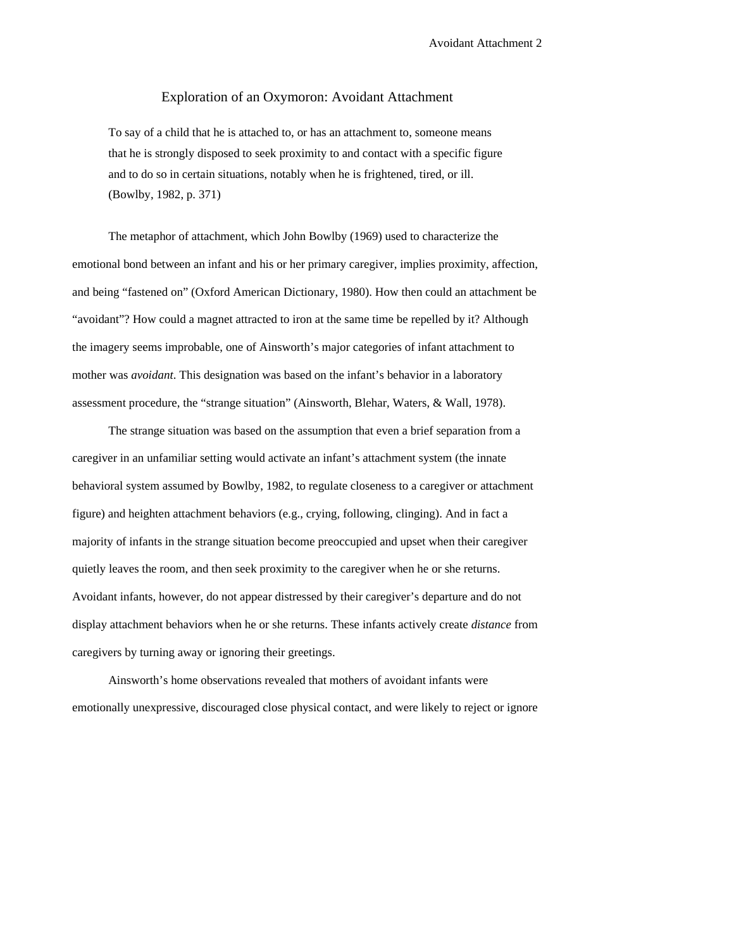### Exploration of an Oxymoron: Avoidant Attachment

To say of a child that he is attached to, or has an attachment to, someone means that he is strongly disposed to seek proximity to and contact with a specific figure and to do so in certain situations, notably when he is frightened, tired, or ill. (Bowlby, 1982, p. 371)

 The metaphor of attachment, which John Bowlby (1969) used to characterize the emotional bond between an infant and his or her primary caregiver, implies proximity, affection, and being "fastened on" (Oxford American Dictionary, 1980). How then could an attachment be "avoidant"? How could a magnet attracted to iron at the same time be repelled by it? Although the imagery seems improbable, one of Ainsworth's major categories of infant attachment to mother was *avoidant*. This designation was based on the infant's behavior in a laboratory assessment procedure, the "strange situation" (Ainsworth, Blehar, Waters, & Wall, 1978).

 The strange situation was based on the assumption that even a brief separation from a caregiver in an unfamiliar setting would activate an infant's attachment system (the innate behavioral system assumed by Bowlby, 1982, to regulate closeness to a caregiver or attachment figure) and heighten attachment behaviors (e.g., crying, following, clinging). And in fact a majority of infants in the strange situation become preoccupied and upset when their caregiver quietly leaves the room, and then seek proximity to the caregiver when he or she returns. Avoidant infants, however, do not appear distressed by their caregiver's departure and do not display attachment behaviors when he or she returns. These infants actively create *distance* from caregivers by turning away or ignoring their greetings.

Ainsworth's home observations revealed that mothers of avoidant infants were emotionally unexpressive, discouraged close physical contact, and were likely to reject or ignore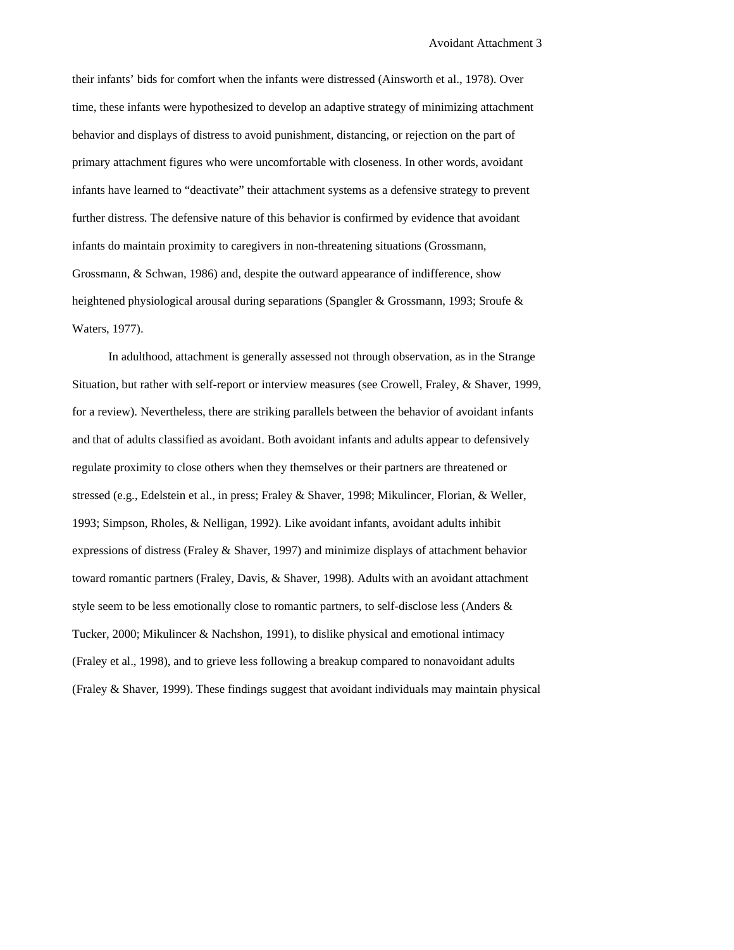their infants' bids for comfort when the infants were distressed (Ainsworth et al., 1978). Over time, these infants were hypothesized to develop an adaptive strategy of minimizing attachment behavior and displays of distress to avoid punishment, distancing, or rejection on the part of primary attachment figures who were uncomfortable with closeness. In other words, avoidant infants have learned to "deactivate" their attachment systems as a defensive strategy to prevent further distress. The defensive nature of this behavior is confirmed by evidence that avoidant infants do maintain proximity to caregivers in non-threatening situations (Grossmann, Grossmann, & Schwan, 1986) and, despite the outward appearance of indifference, show heightened physiological arousal during separations (Spangler & Grossmann, 1993; Sroufe & Waters, 1977).

In adulthood, attachment is generally assessed not through observation, as in the Strange Situation, but rather with self-report or interview measures (see Crowell, Fraley, & Shaver, 1999, for a review). Nevertheless, there are striking parallels between the behavior of avoidant infants and that of adults classified as avoidant. Both avoidant infants and adults appear to defensively regulate proximity to close others when they themselves or their partners are threatened or stressed (e.g., Edelstein et al., in press; Fraley & Shaver, 1998; Mikulincer, Florian, & Weller, 1993; Simpson, Rholes, & Nelligan, 1992). Like avoidant infants, avoidant adults inhibit expressions of distress (Fraley & Shaver, 1997) and minimize displays of attachment behavior toward romantic partners (Fraley, Davis, & Shaver, 1998). Adults with an avoidant attachment style seem to be less emotionally close to romantic partners, to self-disclose less (Anders & Tucker, 2000; Mikulincer & Nachshon, 1991), to dislike physical and emotional intimacy (Fraley et al., 1998), and to grieve less following a breakup compared to nonavoidant adults (Fraley & Shaver, 1999). These findings suggest that avoidant individuals may maintain physical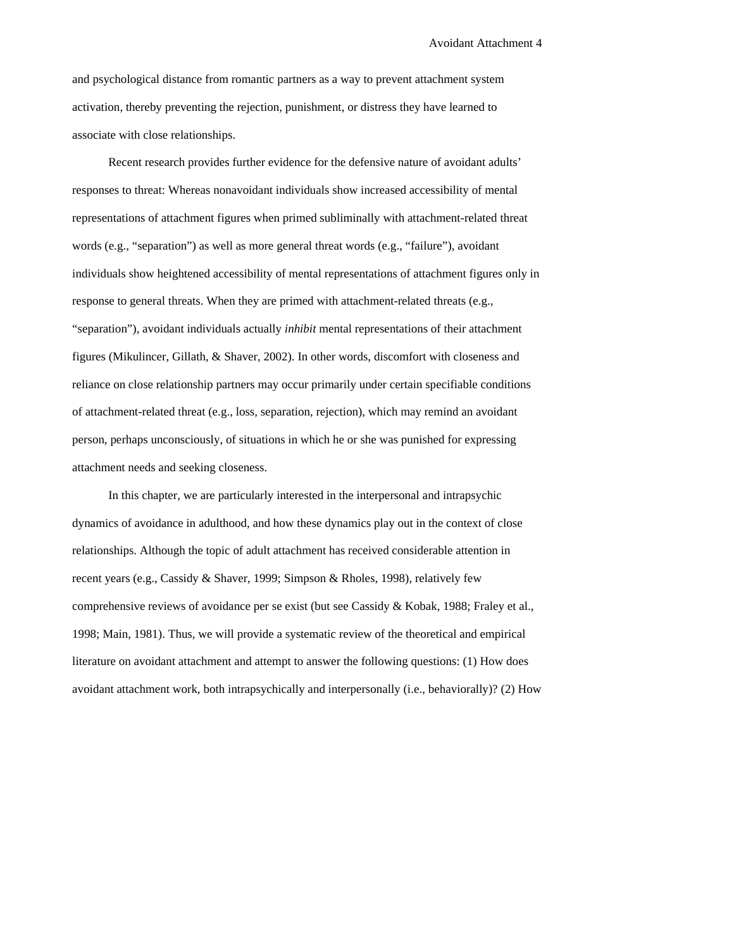and psychological distance from romantic partners as a way to prevent attachment system activation, thereby preventing the rejection, punishment, or distress they have learned to associate with close relationships.

Recent research provides further evidence for the defensive nature of avoidant adults' responses to threat: Whereas nonavoidant individuals show increased accessibility of mental representations of attachment figures when primed subliminally with attachment-related threat words (e.g., "separation") as well as more general threat words (e.g., "failure"), avoidant individuals show heightened accessibility of mental representations of attachment figures only in response to general threats. When they are primed with attachment-related threats (e.g., "separation"), avoidant individuals actually *inhibit* mental representations of their attachment figures (Mikulincer, Gillath, & Shaver, 2002). In other words, discomfort with closeness and reliance on close relationship partners may occur primarily under certain specifiable conditions of attachment-related threat (e.g., loss, separation, rejection), which may remind an avoidant person, perhaps unconsciously, of situations in which he or she was punished for expressing attachment needs and seeking closeness.

In this chapter, we are particularly interested in the interpersonal and intrapsychic dynamics of avoidance in adulthood, and how these dynamics play out in the context of close relationships. Although the topic of adult attachment has received considerable attention in recent years (e.g., Cassidy & Shaver, 1999; Simpson & Rholes, 1998), relatively few comprehensive reviews of avoidance per se exist (but see Cassidy & Kobak, 1988; Fraley et al., 1998; Main, 1981). Thus, we will provide a systematic review of the theoretical and empirical literature on avoidant attachment and attempt to answer the following questions: (1) How does avoidant attachment work, both intrapsychically and interpersonally (i.e., behaviorally)? (2) How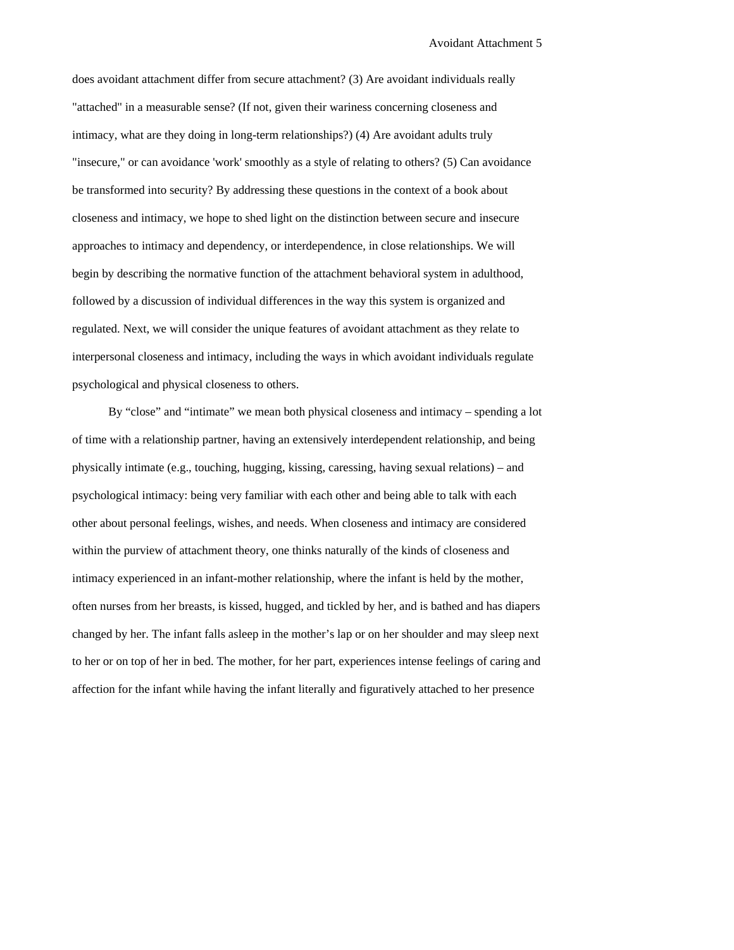does avoidant attachment differ from secure attachment? (3) Are avoidant individuals really "attached" in a measurable sense? (If not, given their wariness concerning closeness and intimacy, what are they doing in long-term relationships?) (4) Are avoidant adults truly "insecure," or can avoidance 'work' smoothly as a style of relating to others? (5) Can avoidance be transformed into security? By addressing these questions in the context of a book about closeness and intimacy, we hope to shed light on the distinction between secure and insecure approaches to intimacy and dependency, or interdependence, in close relationships. We will begin by describing the normative function of the attachment behavioral system in adulthood, followed by a discussion of individual differences in the way this system is organized and regulated. Next, we will consider the unique features of avoidant attachment as they relate to interpersonal closeness and intimacy, including the ways in which avoidant individuals regulate psychological and physical closeness to others.

By "close" and "intimate" we mean both physical closeness and intimacy – spending a lot of time with a relationship partner, having an extensively interdependent relationship, and being physically intimate (e.g., touching, hugging, kissing, caressing, having sexual relations) – and psychological intimacy: being very familiar with each other and being able to talk with each other about personal feelings, wishes, and needs. When closeness and intimacy are considered within the purview of attachment theory, one thinks naturally of the kinds of closeness and intimacy experienced in an infant-mother relationship, where the infant is held by the mother, often nurses from her breasts, is kissed, hugged, and tickled by her, and is bathed and has diapers changed by her. The infant falls asleep in the mother's lap or on her shoulder and may sleep next to her or on top of her in bed. The mother, for her part, experiences intense feelings of caring and affection for the infant while having the infant literally and figuratively attached to her presence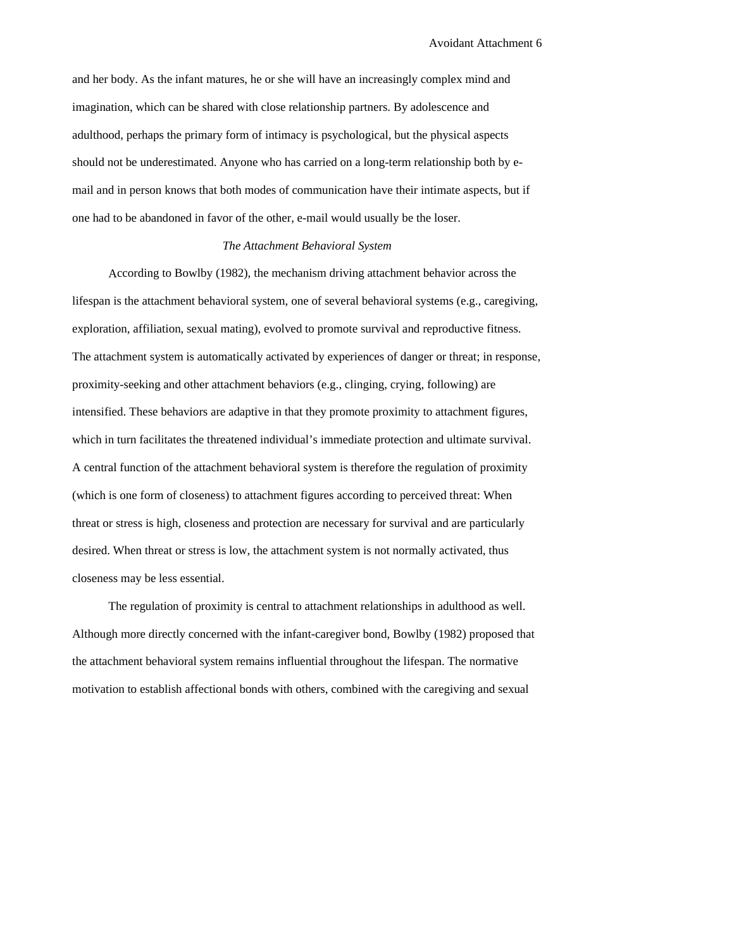and her body. As the infant matures, he or she will have an increasingly complex mind and imagination, which can be shared with close relationship partners. By adolescence and adulthood, perhaps the primary form of intimacy is psychological, but the physical aspects should not be underestimated. Anyone who has carried on a long-term relationship both by email and in person knows that both modes of communication have their intimate aspects, but if one had to be abandoned in favor of the other, e-mail would usually be the loser.

#### *The Attachment Behavioral System*

According to Bowlby (1982), the mechanism driving attachment behavior across the lifespan is the attachment behavioral system, one of several behavioral systems (e.g., caregiving, exploration, affiliation, sexual mating), evolved to promote survival and reproductive fitness. The attachment system is automatically activated by experiences of danger or threat; in response, proximity-seeking and other attachment behaviors (e.g., clinging, crying, following) are intensified. These behaviors are adaptive in that they promote proximity to attachment figures, which in turn facilitates the threatened individual's immediate protection and ultimate survival. A central function of the attachment behavioral system is therefore the regulation of proximity (which is one form of closeness) to attachment figures according to perceived threat: When threat or stress is high, closeness and protection are necessary for survival and are particularly desired. When threat or stress is low, the attachment system is not normally activated, thus closeness may be less essential.

The regulation of proximity is central to attachment relationships in adulthood as well. Although more directly concerned with the infant-caregiver bond, Bowlby (1982) proposed that the attachment behavioral system remains influential throughout the lifespan. The normative motivation to establish affectional bonds with others, combined with the caregiving and sexual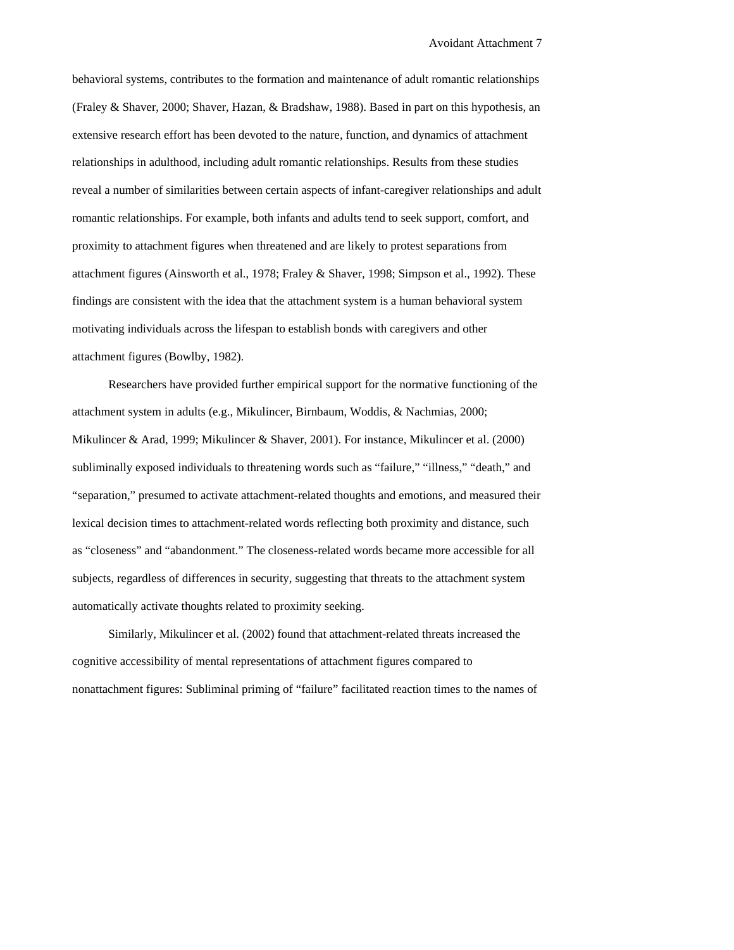behavioral systems, contributes to the formation and maintenance of adult romantic relationships (Fraley & Shaver, 2000; Shaver, Hazan, & Bradshaw, 1988). Based in part on this hypothesis, an extensive research effort has been devoted to the nature, function, and dynamics of attachment relationships in adulthood, including adult romantic relationships. Results from these studies reveal a number of similarities between certain aspects of infant-caregiver relationships and adult romantic relationships. For example, both infants and adults tend to seek support, comfort, and proximity to attachment figures when threatened and are likely to protest separations from attachment figures (Ainsworth et al., 1978; Fraley & Shaver, 1998; Simpson et al., 1992). These findings are consistent with the idea that the attachment system is a human behavioral system motivating individuals across the lifespan to establish bonds with caregivers and other attachment figures (Bowlby, 1982).

Researchers have provided further empirical support for the normative functioning of the attachment system in adults (e.g., Mikulincer, Birnbaum, Woddis, & Nachmias, 2000; Mikulincer & Arad, 1999; Mikulincer & Shaver, 2001). For instance, Mikulincer et al. (2000) subliminally exposed individuals to threatening words such as "failure," "illness," "death," and "separation," presumed to activate attachment-related thoughts and emotions, and measured their lexical decision times to attachment-related words reflecting both proximity and distance, such as "closeness" and "abandonment." The closeness-related words became more accessible for all subjects, regardless of differences in security, suggesting that threats to the attachment system automatically activate thoughts related to proximity seeking.

Similarly, Mikulincer et al. (2002) found that attachment-related threats increased the cognitive accessibility of mental representations of attachment figures compared to nonattachment figures: Subliminal priming of "failure" facilitated reaction times to the names of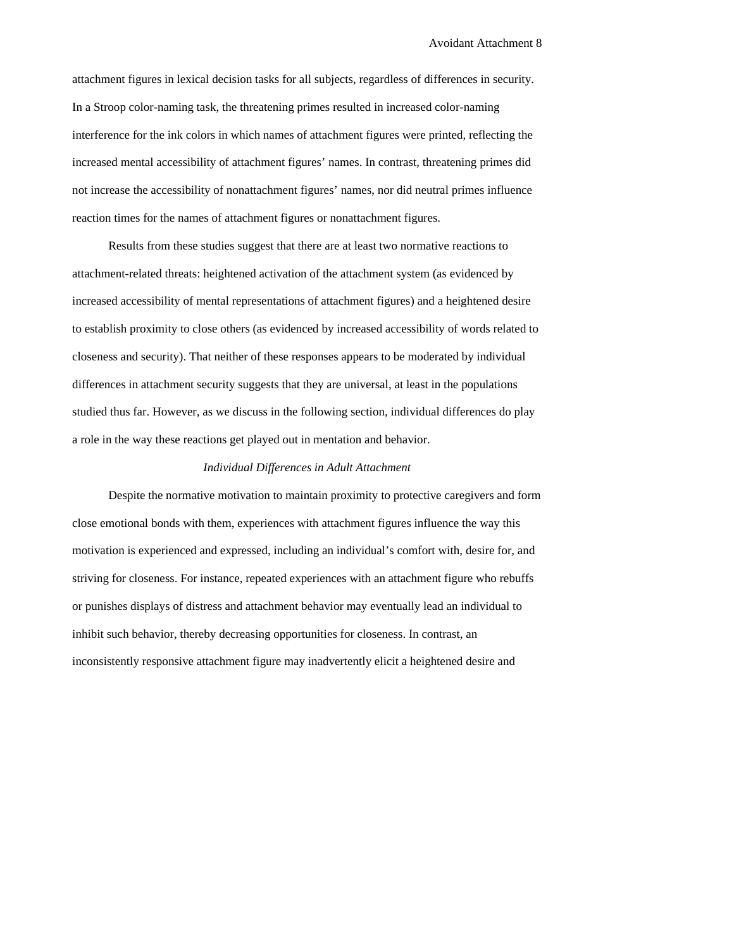attachment figures in lexical decision tasks for all subjects, regardless of differences in security. In a Stroop color-naming task, the threatening primes resulted in increased color-naming interference for the ink colors in which names of attachment figures were printed, reflecting the increased mental accessibility of attachment figures' names. In contrast, threatening primes did not increase the accessibility of nonattachment figures' names, nor did neutral primes influence reaction times for the names of attachment figures or nonattachment figures.

Results from these studies suggest that there are at least two normative reactions to attachment-related threats: heightened activation of the attachment system (as evidenced by increased accessibility of mental representations of attachment figures) and a heightened desire to establish proximity to close others (as evidenced by increased accessibility of words related to closeness and security). That neither of these responses appears to be moderated by individual differences in attachment security suggests that they are universal, at least in the populations studied thus far. However, as we discuss in the following section, individual differences do play a role in the way these reactions get played out in mentation and behavior.

#### *Individual Differences in Adult Attachment*

Despite the normative motivation to maintain proximity to protective caregivers and form close emotional bonds with them, experiences with attachment figures influence the way this motivation is experienced and expressed, including an individual's comfort with, desire for, and striving for closeness. For instance, repeated experiences with an attachment figure who rebuffs or punishes displays of distress and attachment behavior may eventually lead an individual to inhibit such behavior, thereby decreasing opportunities for closeness. In contrast, an inconsistently responsive attachment figure may inadvertently elicit a heightened desire and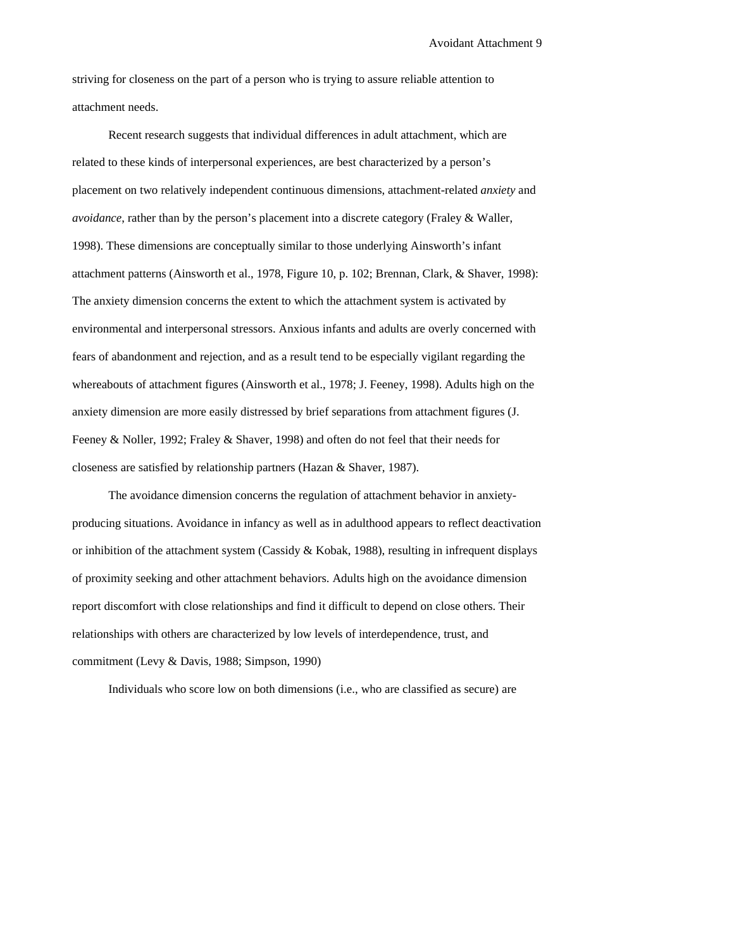striving for closeness on the part of a person who is trying to assure reliable attention to attachment needs.

Recent research suggests that individual differences in adult attachment, which are related to these kinds of interpersonal experiences, are best characterized by a person's placement on two relatively independent continuous dimensions, attachment-related *anxiety* and *avoidance*, rather than by the person's placement into a discrete category (Fraley & Waller, 1998). These dimensions are conceptually similar to those underlying Ainsworth's infant attachment patterns (Ainsworth et al., 1978, Figure 10, p. 102; Brennan, Clark, & Shaver, 1998): The anxiety dimension concerns the extent to which the attachment system is activated by environmental and interpersonal stressors. Anxious infants and adults are overly concerned with fears of abandonment and rejection, and as a result tend to be especially vigilant regarding the whereabouts of attachment figures (Ainsworth et al., 1978; J. Feeney, 1998). Adults high on the anxiety dimension are more easily distressed by brief separations from attachment figures (J. Feeney & Noller, 1992; Fraley & Shaver, 1998) and often do not feel that their needs for closeness are satisfied by relationship partners (Hazan & Shaver, 1987).

The avoidance dimension concerns the regulation of attachment behavior in anxietyproducing situations. Avoidance in infancy as well as in adulthood appears to reflect deactivation or inhibition of the attachment system (Cassidy & Kobak, 1988), resulting in infrequent displays of proximity seeking and other attachment behaviors. Adults high on the avoidance dimension report discomfort with close relationships and find it difficult to depend on close others. Their relationships with others are characterized by low levels of interdependence, trust, and commitment (Levy & Davis, 1988; Simpson, 1990)

Individuals who score low on both dimensions (i.e., who are classified as secure) are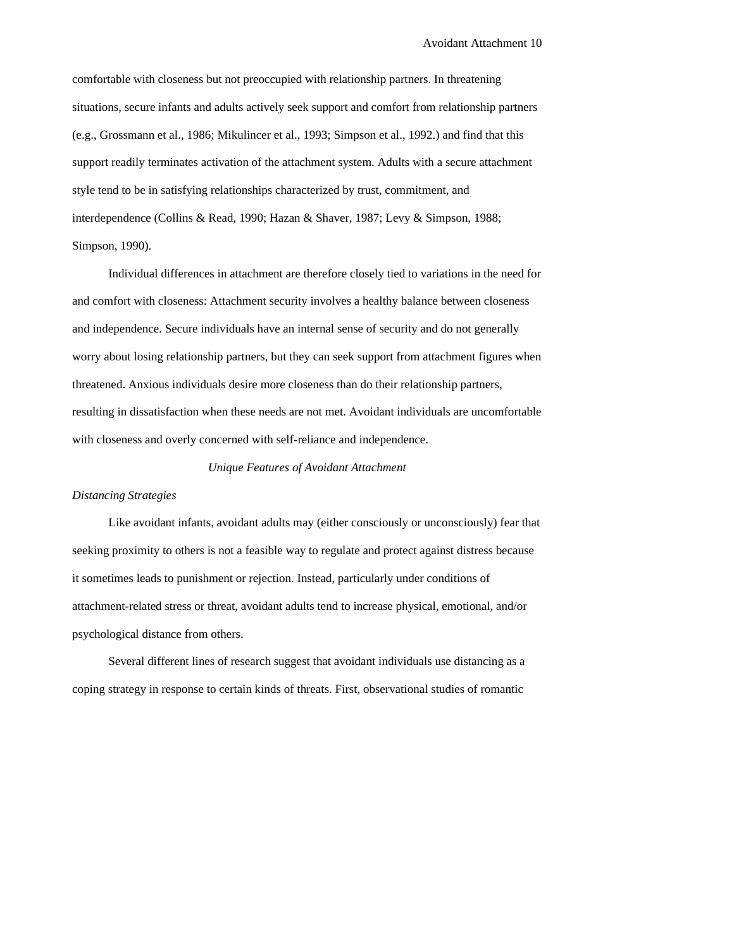comfortable with closeness but not preoccupied with relationship partners. In threatening situations, secure infants and adults actively seek support and comfort from relationship partners (e.g., Grossmann et al., 1986; Mikulincer et al., 1993; Simpson et al., 1992.) and find that this support readily terminates activation of the attachment system. Adults with a secure attachment style tend to be in satisfying relationships characterized by trust, commitment, and interdependence (Collins & Read, 1990; Hazan & Shaver, 1987; Levy & Simpson, 1988; Simpson, 1990).

Individual differences in attachment are therefore closely tied to variations in the need for and comfort with closeness: Attachment security involves a healthy balance between closeness and independence. Secure individuals have an internal sense of security and do not generally worry about losing relationship partners, but they can seek support from attachment figures when threatened. Anxious individuals desire more closeness than do their relationship partners, resulting in dissatisfaction when these needs are not met. Avoidant individuals are uncomfortable with closeness and overly concerned with self-reliance and independence.

#### *Unique Features of Avoidant Attachment*

#### *Distancing Strategies*

Like avoidant infants, avoidant adults may (either consciously or unconsciously) fear that seeking proximity to others is not a feasible way to regulate and protect against distress because it sometimes leads to punishment or rejection. Instead, particularly under conditions of attachment-related stress or threat, avoidant adults tend to increase physical, emotional, and/or psychological distance from others.

Several different lines of research suggest that avoidant individuals use distancing as a coping strategy in response to certain kinds of threats. First, observational studies of romantic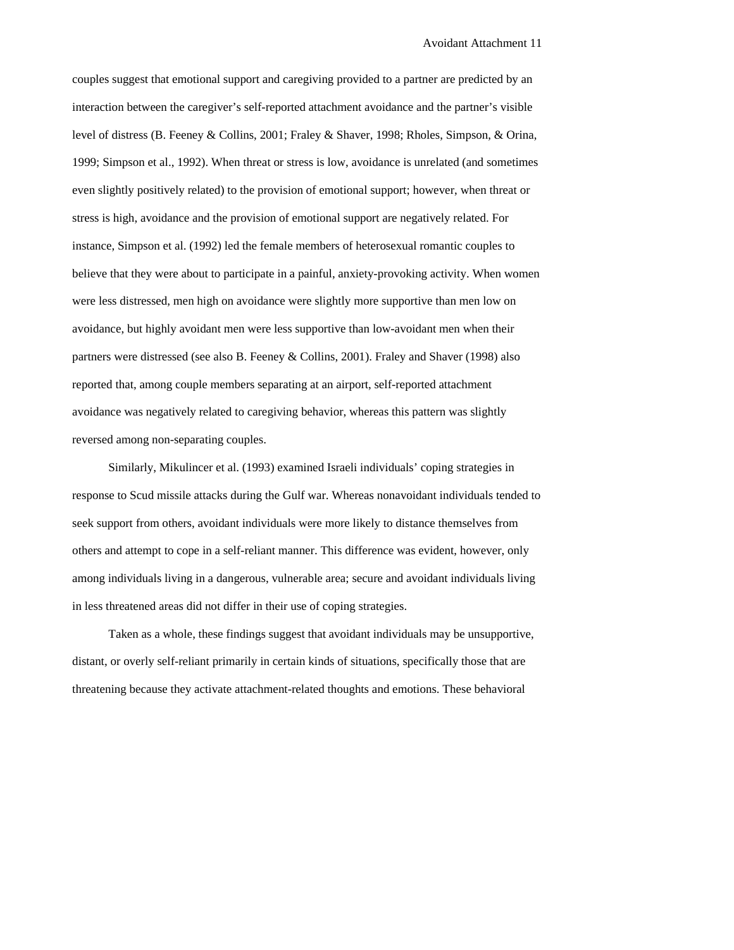couples suggest that emotional support and caregiving provided to a partner are predicted by an interaction between the caregiver's self-reported attachment avoidance and the partner's visible level of distress (B. Feeney & Collins, 2001; Fraley & Shaver, 1998; Rholes, Simpson, & Orina, 1999; Simpson et al., 1992). When threat or stress is low, avoidance is unrelated (and sometimes even slightly positively related) to the provision of emotional support; however, when threat or stress is high, avoidance and the provision of emotional support are negatively related. For instance, Simpson et al. (1992) led the female members of heterosexual romantic couples to believe that they were about to participate in a painful, anxiety-provoking activity. When women were less distressed, men high on avoidance were slightly more supportive than men low on avoidance, but highly avoidant men were less supportive than low-avoidant men when their partners were distressed (see also B. Feeney & Collins, 2001). Fraley and Shaver (1998) also reported that, among couple members separating at an airport, self-reported attachment avoidance was negatively related to caregiving behavior, whereas this pattern was slightly reversed among non-separating couples.

Similarly, Mikulincer et al. (1993) examined Israeli individuals' coping strategies in response to Scud missile attacks during the Gulf war. Whereas nonavoidant individuals tended to seek support from others, avoidant individuals were more likely to distance themselves from others and attempt to cope in a self-reliant manner. This difference was evident, however, only among individuals living in a dangerous, vulnerable area; secure and avoidant individuals living in less threatened areas did not differ in their use of coping strategies.

Taken as a whole, these findings suggest that avoidant individuals may be unsupportive, distant, or overly self-reliant primarily in certain kinds of situations, specifically those that are threatening because they activate attachment-related thoughts and emotions. These behavioral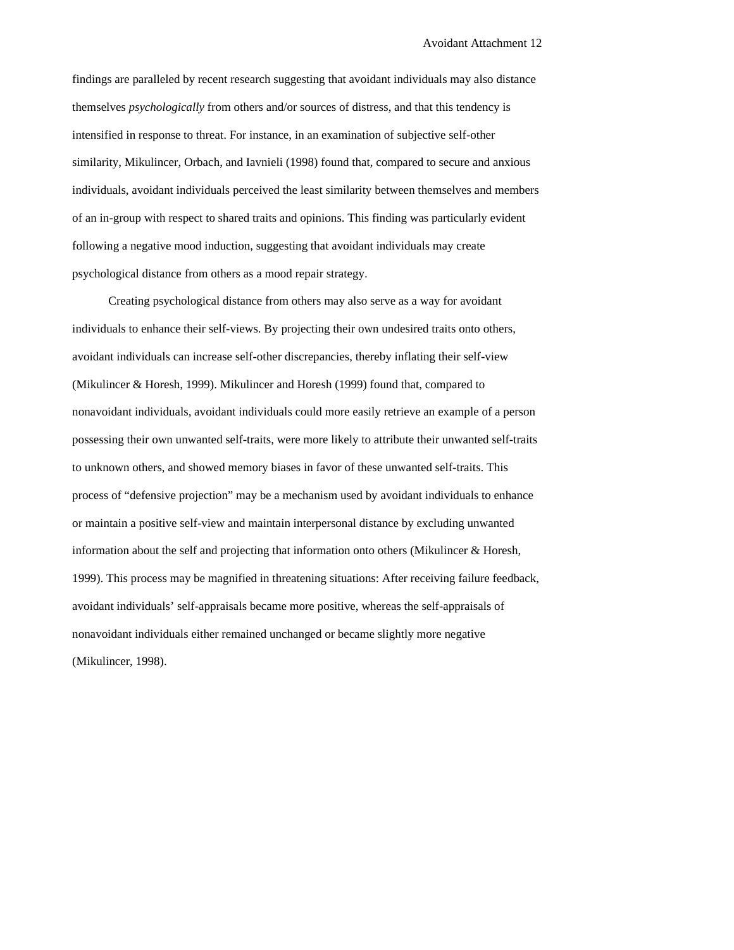findings are paralleled by recent research suggesting that avoidant individuals may also distance themselves *psychologically* from others and/or sources of distress, and that this tendency is intensified in response to threat. For instance, in an examination of subjective self-other similarity, Mikulincer, Orbach, and Iavnieli (1998) found that, compared to secure and anxious individuals, avoidant individuals perceived the least similarity between themselves and members of an in-group with respect to shared traits and opinions. This finding was particularly evident following a negative mood induction, suggesting that avoidant individuals may create psychological distance from others as a mood repair strategy.

Creating psychological distance from others may also serve as a way for avoidant individuals to enhance their self-views. By projecting their own undesired traits onto others, avoidant individuals can increase self-other discrepancies, thereby inflating their self-view (Mikulincer & Horesh, 1999). Mikulincer and Horesh (1999) found that, compared to nonavoidant individuals, avoidant individuals could more easily retrieve an example of a person possessing their own unwanted self-traits, were more likely to attribute their unwanted self-traits to unknown others, and showed memory biases in favor of these unwanted self-traits. This process of "defensive projection" may be a mechanism used by avoidant individuals to enhance or maintain a positive self-view and maintain interpersonal distance by excluding unwanted information about the self and projecting that information onto others (Mikulincer & Horesh, 1999). This process may be magnified in threatening situations: After receiving failure feedback, avoidant individuals' self-appraisals became more positive, whereas the self-appraisals of nonavoidant individuals either remained unchanged or became slightly more negative (Mikulincer, 1998).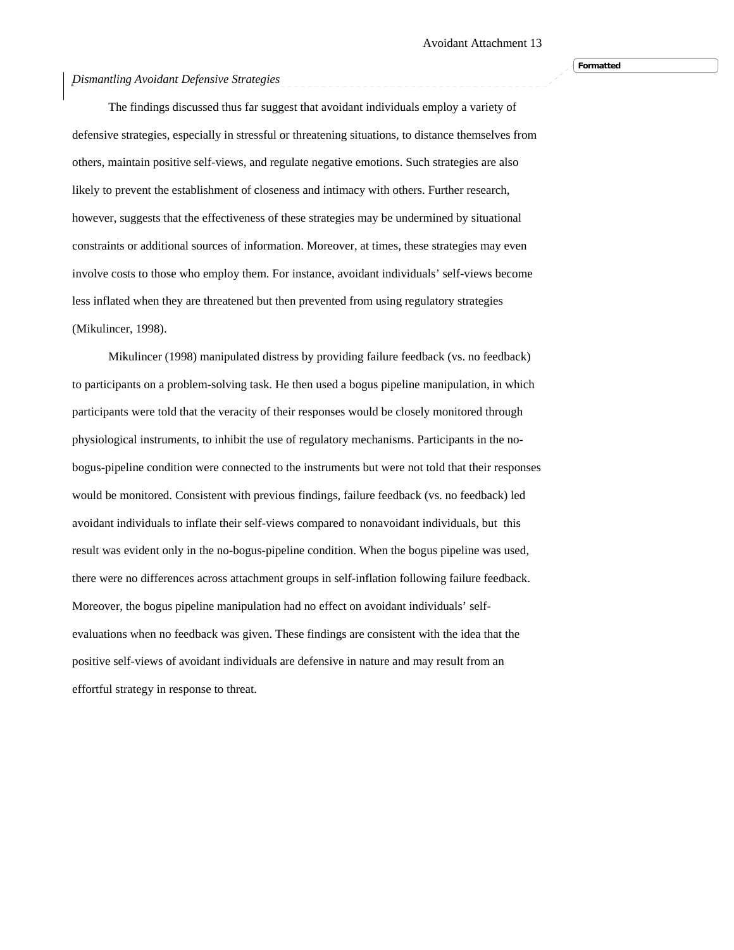**Formatted**

#### *Dismantling Avoidant Defensive Strategies*

The findings discussed thus far suggest that avoidant individuals employ a variety of defensive strategies, especially in stressful or threatening situations, to distance themselves from others, maintain positive self-views, and regulate negative emotions. Such strategies are also likely to prevent the establishment of closeness and intimacy with others. Further research, however, suggests that the effectiveness of these strategies may be undermined by situational constraints or additional sources of information. Moreover, at times, these strategies may even involve costs to those who employ them. For instance, avoidant individuals' self-views become less inflated when they are threatened but then prevented from using regulatory strategies (Mikulincer, 1998).

Mikulincer (1998) manipulated distress by providing failure feedback (vs. no feedback) to participants on a problem-solving task. He then used a bogus pipeline manipulation, in which participants were told that the veracity of their responses would be closely monitored through physiological instruments, to inhibit the use of regulatory mechanisms. Participants in the nobogus-pipeline condition were connected to the instruments but were not told that their responses would be monitored. Consistent with previous findings, failure feedback (vs. no feedback) led avoidant individuals to inflate their self-views compared to nonavoidant individuals, but this result was evident only in the no-bogus-pipeline condition. When the bogus pipeline was used, there were no differences across attachment groups in self-inflation following failure feedback. Moreover, the bogus pipeline manipulation had no effect on avoidant individuals' selfevaluations when no feedback was given. These findings are consistent with the idea that the positive self-views of avoidant individuals are defensive in nature and may result from an effortful strategy in response to threat.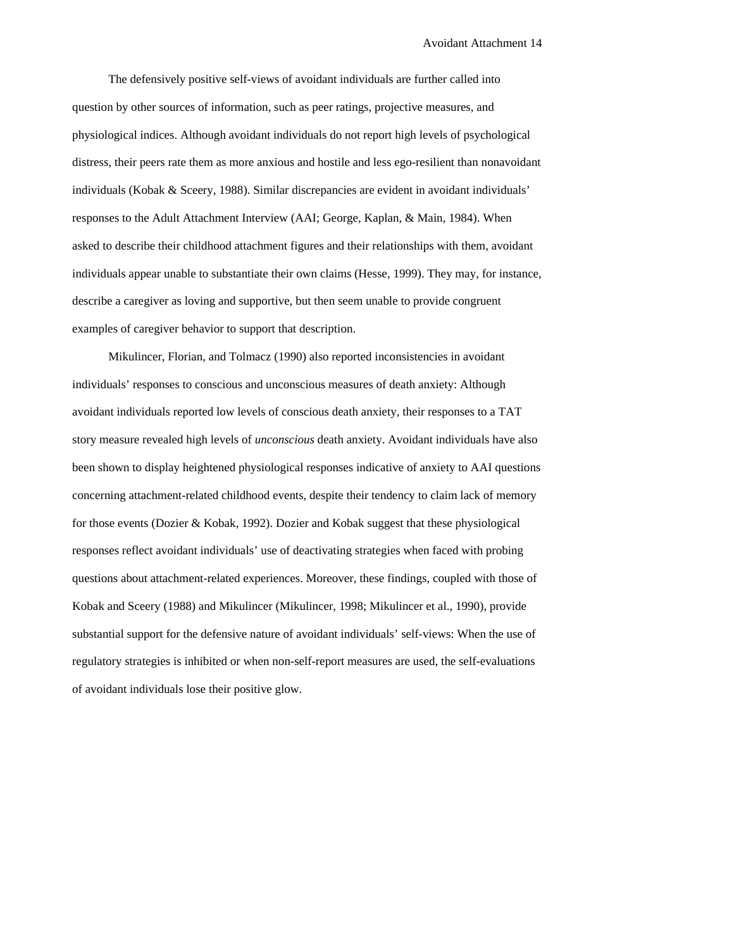The defensively positive self-views of avoidant individuals are further called into question by other sources of information, such as peer ratings, projective measures, and physiological indices. Although avoidant individuals do not report high levels of psychological distress, their peers rate them as more anxious and hostile and less ego-resilient than nonavoidant individuals (Kobak & Sceery, 1988). Similar discrepancies are evident in avoidant individuals' responses to the Adult Attachment Interview (AAI; George, Kaplan, & Main, 1984). When asked to describe their childhood attachment figures and their relationships with them, avoidant individuals appear unable to substantiate their own claims (Hesse, 1999). They may, for instance, describe a caregiver as loving and supportive, but then seem unable to provide congruent examples of caregiver behavior to support that description.

Mikulincer, Florian, and Tolmacz (1990) also reported inconsistencies in avoidant individuals' responses to conscious and unconscious measures of death anxiety: Although avoidant individuals reported low levels of conscious death anxiety, their responses to a TAT story measure revealed high levels of *unconscious* death anxiety. Avoidant individuals have also been shown to display heightened physiological responses indicative of anxiety to AAI questions concerning attachment-related childhood events, despite their tendency to claim lack of memory for those events (Dozier & Kobak, 1992). Dozier and Kobak suggest that these physiological responses reflect avoidant individuals' use of deactivating strategies when faced with probing questions about attachment-related experiences. Moreover, these findings, coupled with those of Kobak and Sceery (1988) and Mikulincer (Mikulincer, 1998; Mikulincer et al., 1990), provide substantial support for the defensive nature of avoidant individuals' self-views: When the use of regulatory strategies is inhibited or when non-self-report measures are used, the self-evaluations of avoidant individuals lose their positive glow.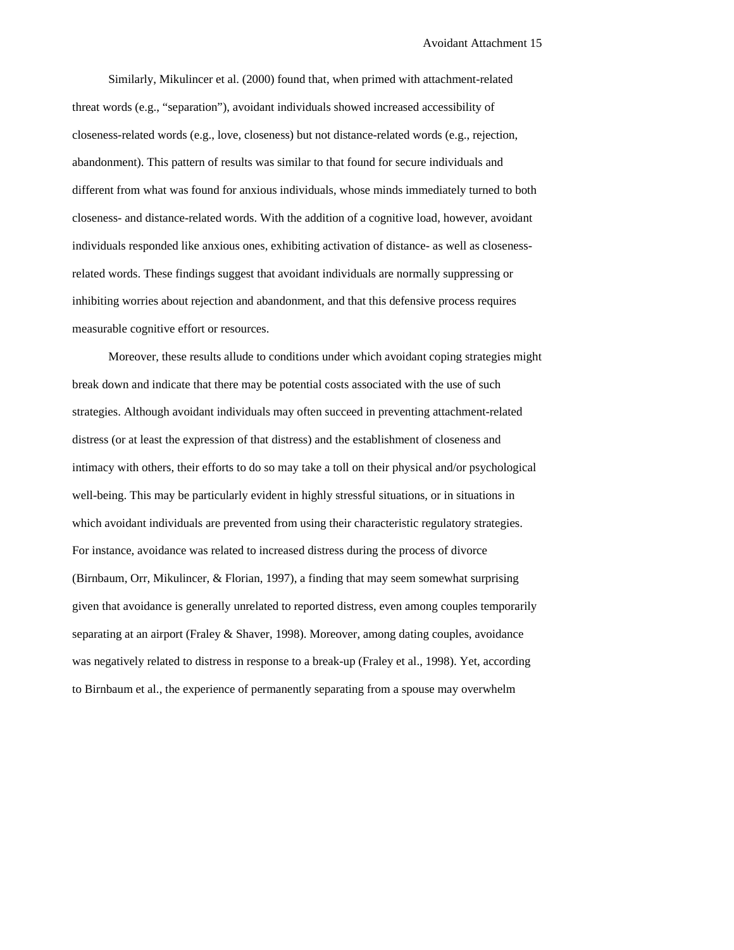Similarly, Mikulincer et al. (2000) found that, when primed with attachment-related threat words (e.g., "separation"), avoidant individuals showed increased accessibility of closeness-related words (e.g., love, closeness) but not distance-related words (e.g., rejection, abandonment). This pattern of results was similar to that found for secure individuals and different from what was found for anxious individuals, whose minds immediately turned to both closeness- and distance-related words. With the addition of a cognitive load, however, avoidant individuals responded like anxious ones, exhibiting activation of distance- as well as closenessrelated words. These findings suggest that avoidant individuals are normally suppressing or inhibiting worries about rejection and abandonment, and that this defensive process requires measurable cognitive effort or resources.

Moreover, these results allude to conditions under which avoidant coping strategies might break down and indicate that there may be potential costs associated with the use of such strategies. Although avoidant individuals may often succeed in preventing attachment-related distress (or at least the expression of that distress) and the establishment of closeness and intimacy with others, their efforts to do so may take a toll on their physical and/or psychological well-being. This may be particularly evident in highly stressful situations, or in situations in which avoidant individuals are prevented from using their characteristic regulatory strategies. For instance, avoidance was related to increased distress during the process of divorce (Birnbaum, Orr, Mikulincer, & Florian, 1997), a finding that may seem somewhat surprising given that avoidance is generally unrelated to reported distress, even among couples temporarily separating at an airport (Fraley & Shaver, 1998). Moreover, among dating couples, avoidance was negatively related to distress in response to a break-up (Fraley et al., 1998). Yet, according to Birnbaum et al., the experience of permanently separating from a spouse may overwhelm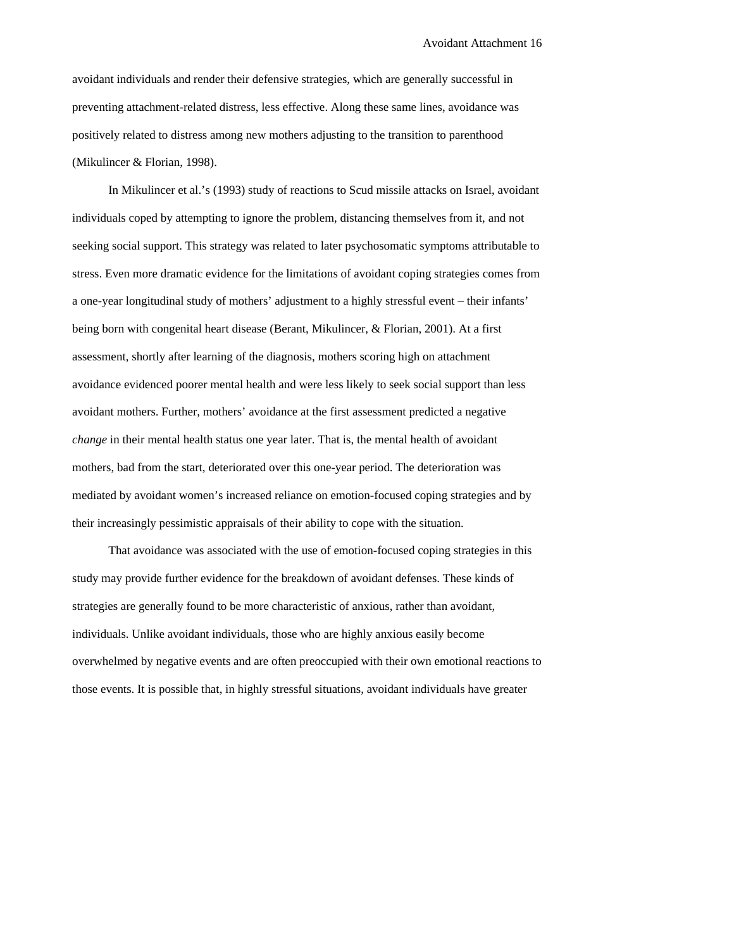avoidant individuals and render their defensive strategies, which are generally successful in preventing attachment-related distress, less effective. Along these same lines, avoidance was positively related to distress among new mothers adjusting to the transition to parenthood (Mikulincer & Florian, 1998).

In Mikulincer et al.'s (1993) study of reactions to Scud missile attacks on Israel, avoidant individuals coped by attempting to ignore the problem, distancing themselves from it, and not seeking social support. This strategy was related to later psychosomatic symptoms attributable to stress. Even more dramatic evidence for the limitations of avoidant coping strategies comes from a one-year longitudinal study of mothers' adjustment to a highly stressful event – their infants' being born with congenital heart disease (Berant, Mikulincer, & Florian, 2001). At a first assessment, shortly after learning of the diagnosis, mothers scoring high on attachment avoidance evidenced poorer mental health and were less likely to seek social support than less avoidant mothers. Further, mothers' avoidance at the first assessment predicted a negative *change* in their mental health status one year later. That is, the mental health of avoidant mothers, bad from the start, deteriorated over this one-year period. The deterioration was mediated by avoidant women's increased reliance on emotion-focused coping strategies and by their increasingly pessimistic appraisals of their ability to cope with the situation.

That avoidance was associated with the use of emotion-focused coping strategies in this study may provide further evidence for the breakdown of avoidant defenses. These kinds of strategies are generally found to be more characteristic of anxious, rather than avoidant, individuals. Unlike avoidant individuals, those who are highly anxious easily become overwhelmed by negative events and are often preoccupied with their own emotional reactions to those events. It is possible that, in highly stressful situations, avoidant individuals have greater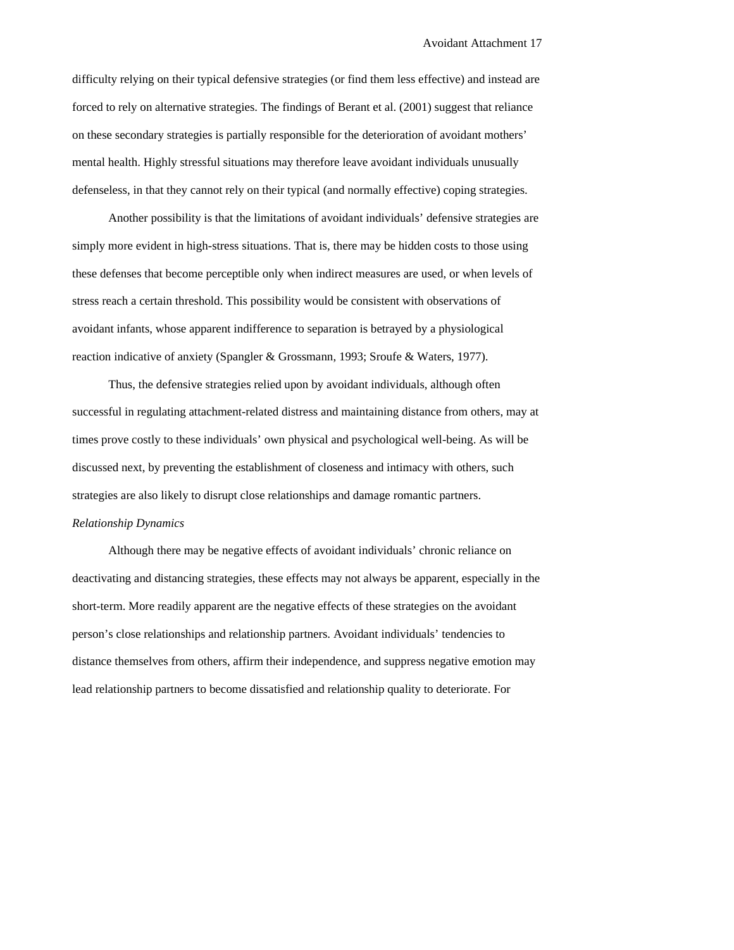difficulty relying on their typical defensive strategies (or find them less effective) and instead are forced to rely on alternative strategies. The findings of Berant et al. (2001) suggest that reliance on these secondary strategies is partially responsible for the deterioration of avoidant mothers' mental health. Highly stressful situations may therefore leave avoidant individuals unusually defenseless, in that they cannot rely on their typical (and normally effective) coping strategies.

Another possibility is that the limitations of avoidant individuals' defensive strategies are simply more evident in high-stress situations. That is, there may be hidden costs to those using these defenses that become perceptible only when indirect measures are used, or when levels of stress reach a certain threshold. This possibility would be consistent with observations of avoidant infants, whose apparent indifference to separation is betrayed by a physiological reaction indicative of anxiety (Spangler & Grossmann, 1993; Sroufe & Waters, 1977).

Thus, the defensive strategies relied upon by avoidant individuals, although often successful in regulating attachment-related distress and maintaining distance from others, may at times prove costly to these individuals' own physical and psychological well-being. As will be discussed next, by preventing the establishment of closeness and intimacy with others, such strategies are also likely to disrupt close relationships and damage romantic partners. *Relationship Dynamics* 

Although there may be negative effects of avoidant individuals' chronic reliance on deactivating and distancing strategies, these effects may not always be apparent, especially in the short-term. More readily apparent are the negative effects of these strategies on the avoidant person's close relationships and relationship partners. Avoidant individuals' tendencies to distance themselves from others, affirm their independence, and suppress negative emotion may lead relationship partners to become dissatisfied and relationship quality to deteriorate. For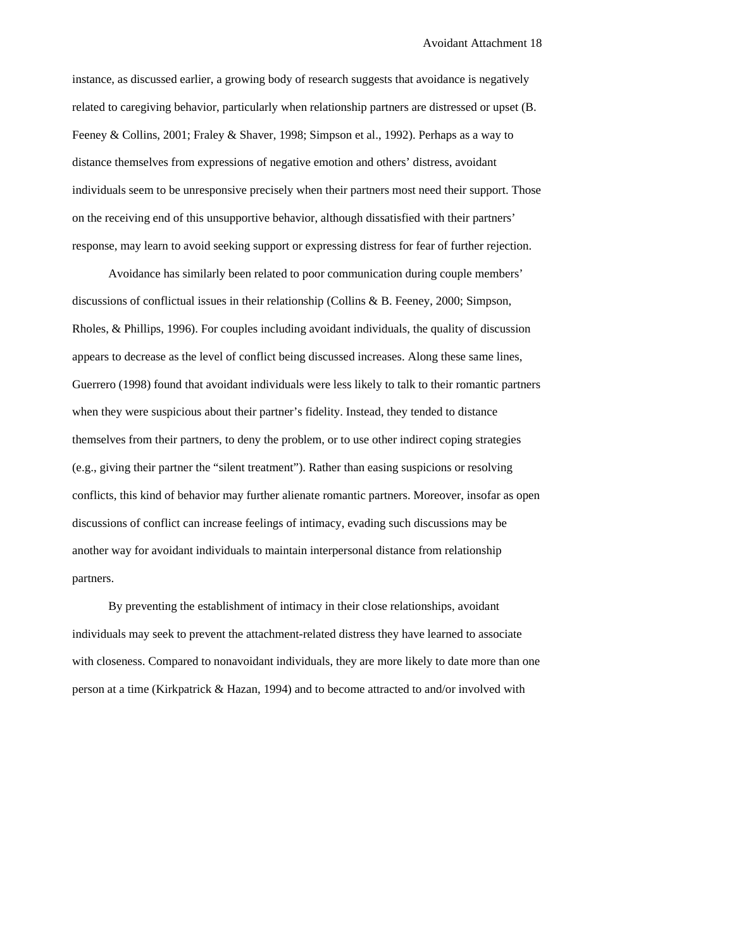instance, as discussed earlier, a growing body of research suggests that avoidance is negatively related to caregiving behavior, particularly when relationship partners are distressed or upset (B. Feeney & Collins, 2001; Fraley & Shaver, 1998; Simpson et al., 1992). Perhaps as a way to distance themselves from expressions of negative emotion and others' distress, avoidant individuals seem to be unresponsive precisely when their partners most need their support. Those on the receiving end of this unsupportive behavior, although dissatisfied with their partners' response, may learn to avoid seeking support or expressing distress for fear of further rejection.

Avoidance has similarly been related to poor communication during couple members' discussions of conflictual issues in their relationship (Collins & B. Feeney, 2000; Simpson, Rholes, & Phillips, 1996). For couples including avoidant individuals, the quality of discussion appears to decrease as the level of conflict being discussed increases. Along these same lines, Guerrero (1998) found that avoidant individuals were less likely to talk to their romantic partners when they were suspicious about their partner's fidelity. Instead, they tended to distance themselves from their partners, to deny the problem, or to use other indirect coping strategies (e.g., giving their partner the "silent treatment"). Rather than easing suspicions or resolving conflicts, this kind of behavior may further alienate romantic partners. Moreover, insofar as open discussions of conflict can increase feelings of intimacy, evading such discussions may be another way for avoidant individuals to maintain interpersonal distance from relationship partners.

By preventing the establishment of intimacy in their close relationships, avoidant individuals may seek to prevent the attachment-related distress they have learned to associate with closeness. Compared to nonavoidant individuals, they are more likely to date more than one person at a time (Kirkpatrick & Hazan, 1994) and to become attracted to and/or involved with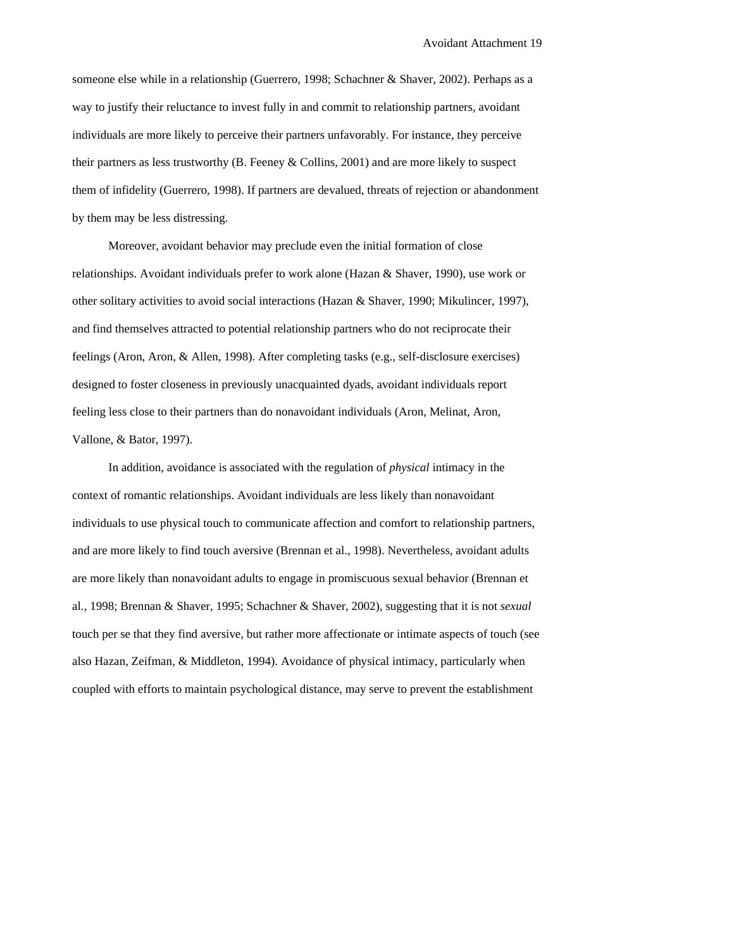someone else while in a relationship (Guerrero, 1998; Schachner & Shaver, 2002). Perhaps as a way to justify their reluctance to invest fully in and commit to relationship partners, avoidant individuals are more likely to perceive their partners unfavorably. For instance, they perceive their partners as less trustworthy (B. Feeney & Collins, 2001) and are more likely to suspect them of infidelity (Guerrero, 1998). If partners are devalued, threats of rejection or abandonment by them may be less distressing.

Moreover, avoidant behavior may preclude even the initial formation of close relationships. Avoidant individuals prefer to work alone (Hazan & Shaver, 1990), use work or other solitary activities to avoid social interactions (Hazan & Shaver, 1990; Mikulincer, 1997), and find themselves attracted to potential relationship partners who do not reciprocate their feelings (Aron, Aron, & Allen, 1998). After completing tasks (e.g., self-disclosure exercises) designed to foster closeness in previously unacquainted dyads, avoidant individuals report feeling less close to their partners than do nonavoidant individuals (Aron, Melinat, Aron, Vallone, & Bator, 1997).

In addition, avoidance is associated with the regulation of *physical* intimacy in the context of romantic relationships. Avoidant individuals are less likely than nonavoidant individuals to use physical touch to communicate affection and comfort to relationship partners, and are more likely to find touch aversive (Brennan et al., 1998). Nevertheless, avoidant adults are more likely than nonavoidant adults to engage in promiscuous sexual behavior (Brennan et al., 1998; Brennan & Shaver, 1995; Schachner & Shaver, 2002), suggesting that it is not *sexual* touch per se that they find aversive, but rather more affectionate or intimate aspects of touch (see also Hazan, Zeifman, & Middleton, 1994). Avoidance of physical intimacy, particularly when coupled with efforts to maintain psychological distance, may serve to prevent the establishment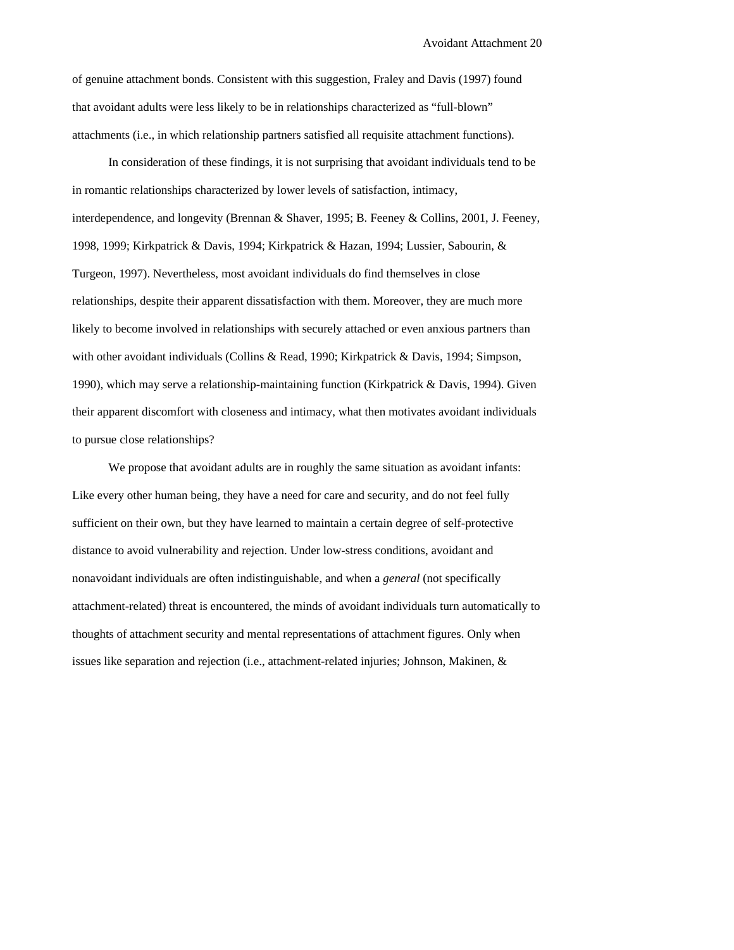of genuine attachment bonds. Consistent with this suggestion, Fraley and Davis (1997) found that avoidant adults were less likely to be in relationships characterized as "full-blown" attachments (i.e., in which relationship partners satisfied all requisite attachment functions).

 In consideration of these findings, it is not surprising that avoidant individuals tend to be in romantic relationships characterized by lower levels of satisfaction, intimacy, interdependence, and longevity (Brennan & Shaver, 1995; B. Feeney & Collins, 2001, J. Feeney, 1998, 1999; Kirkpatrick & Davis, 1994; Kirkpatrick & Hazan, 1994; Lussier, Sabourin, & Turgeon, 1997). Nevertheless, most avoidant individuals do find themselves in close relationships, despite their apparent dissatisfaction with them. Moreover, they are much more likely to become involved in relationships with securely attached or even anxious partners than with other avoidant individuals (Collins & Read, 1990; Kirkpatrick & Davis, 1994; Simpson, 1990), which may serve a relationship-maintaining function (Kirkpatrick & Davis, 1994). Given their apparent discomfort with closeness and intimacy, what then motivates avoidant individuals to pursue close relationships?

 We propose that avoidant adults are in roughly the same situation as avoidant infants: Like every other human being, they have a need for care and security, and do not feel fully sufficient on their own, but they have learned to maintain a certain degree of self-protective distance to avoid vulnerability and rejection. Under low-stress conditions, avoidant and nonavoidant individuals are often indistinguishable, and when a *general* (not specifically attachment-related) threat is encountered, the minds of avoidant individuals turn automatically to thoughts of attachment security and mental representations of attachment figures. Only when issues like separation and rejection (i.e., attachment-related injuries; Johnson, Makinen, &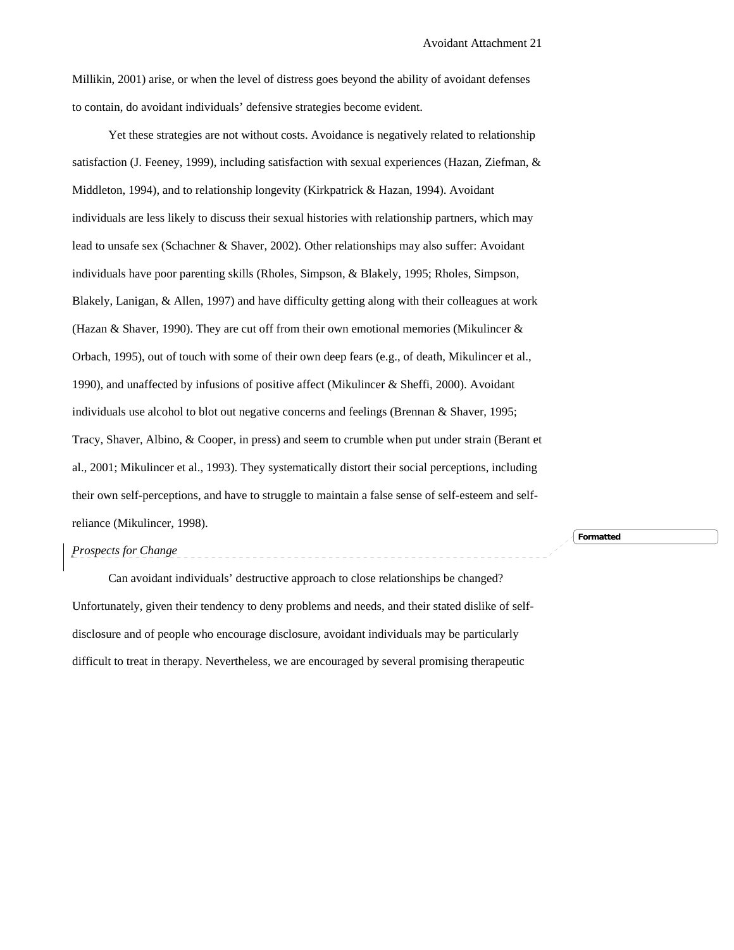Millikin, 2001) arise, or when the level of distress goes beyond the ability of avoidant defenses to contain, do avoidant individuals' defensive strategies become evident.

 Yet these strategies are not without costs. Avoidance is negatively related to relationship satisfaction (J. Feeney, 1999), including satisfaction with sexual experiences (Hazan, Ziefman, & Middleton, 1994), and to relationship longevity (Kirkpatrick & Hazan, 1994). Avoidant individuals are less likely to discuss their sexual histories with relationship partners, which may lead to unsafe sex (Schachner & Shaver, 2002). Other relationships may also suffer: Avoidant individuals have poor parenting skills (Rholes, Simpson, & Blakely, 1995; Rholes, Simpson, Blakely, Lanigan, & Allen, 1997) and have difficulty getting along with their colleagues at work (Hazan & Shaver, 1990). They are cut off from their own emotional memories (Mikulincer  $\&$ Orbach, 1995), out of touch with some of their own deep fears (e.g., of death, Mikulincer et al., 1990), and unaffected by infusions of positive affect (Mikulincer & Sheffi, 2000). Avoidant individuals use alcohol to blot out negative concerns and feelings (Brennan & Shaver, 1995; Tracy, Shaver, Albino, & Cooper, in press) and seem to crumble when put under strain (Berant et al., 2001; Mikulincer et al., 1993). They systematically distort their social perceptions, including their own self-perceptions, and have to struggle to maintain a false sense of self-esteem and selfreliance (Mikulincer, 1998).

**Formatted**

# *Prospects for Change*

 Can avoidant individuals' destructive approach to close relationships be changed? Unfortunately, given their tendency to deny problems and needs, and their stated dislike of selfdisclosure and of people who encourage disclosure, avoidant individuals may be particularly difficult to treat in therapy. Nevertheless, we are encouraged by several promising therapeutic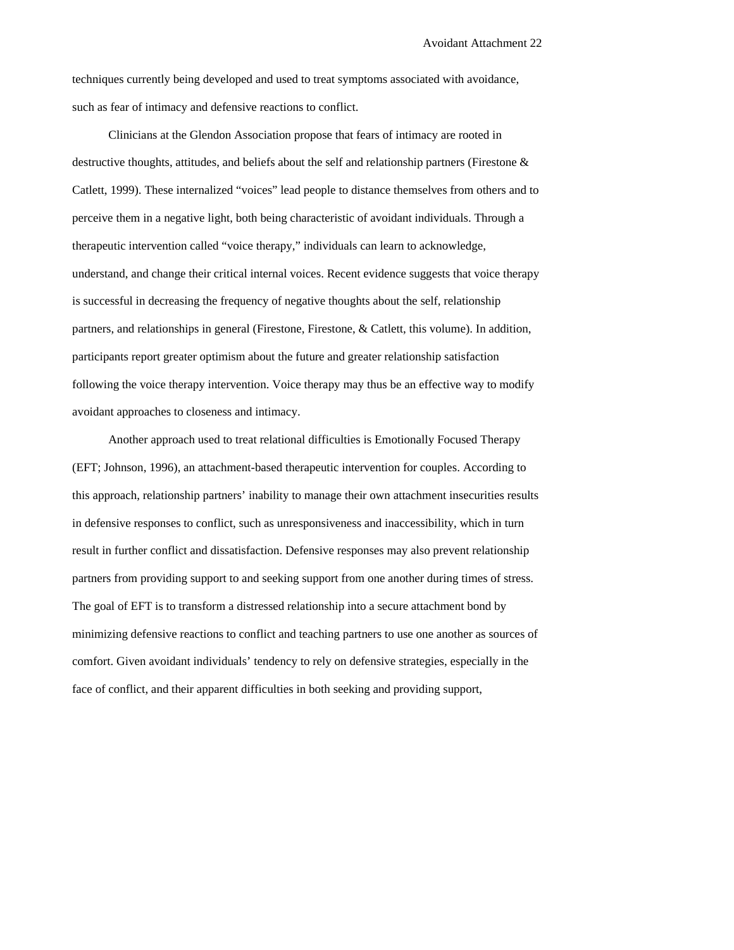techniques currently being developed and used to treat symptoms associated with avoidance, such as fear of intimacy and defensive reactions to conflict.

Clinicians at the Glendon Association propose that fears of intimacy are rooted in destructive thoughts, attitudes, and beliefs about the self and relationship partners (Firestone & Catlett, 1999). These internalized "voices" lead people to distance themselves from others and to perceive them in a negative light, both being characteristic of avoidant individuals. Through a therapeutic intervention called "voice therapy," individuals can learn to acknowledge, understand, and change their critical internal voices. Recent evidence suggests that voice therapy is successful in decreasing the frequency of negative thoughts about the self, relationship partners, and relationships in general (Firestone, Firestone, & Catlett, this volume). In addition, participants report greater optimism about the future and greater relationship satisfaction following the voice therapy intervention. Voice therapy may thus be an effective way to modify avoidant approaches to closeness and intimacy.

 Another approach used to treat relational difficulties is Emotionally Focused Therapy (EFT; Johnson, 1996), an attachment-based therapeutic intervention for couples. According to this approach, relationship partners' inability to manage their own attachment insecurities results in defensive responses to conflict, such as unresponsiveness and inaccessibility, which in turn result in further conflict and dissatisfaction. Defensive responses may also prevent relationship partners from providing support to and seeking support from one another during times of stress. The goal of EFT is to transform a distressed relationship into a secure attachment bond by minimizing defensive reactions to conflict and teaching partners to use one another as sources of comfort. Given avoidant individuals' tendency to rely on defensive strategies, especially in the face of conflict, and their apparent difficulties in both seeking and providing support,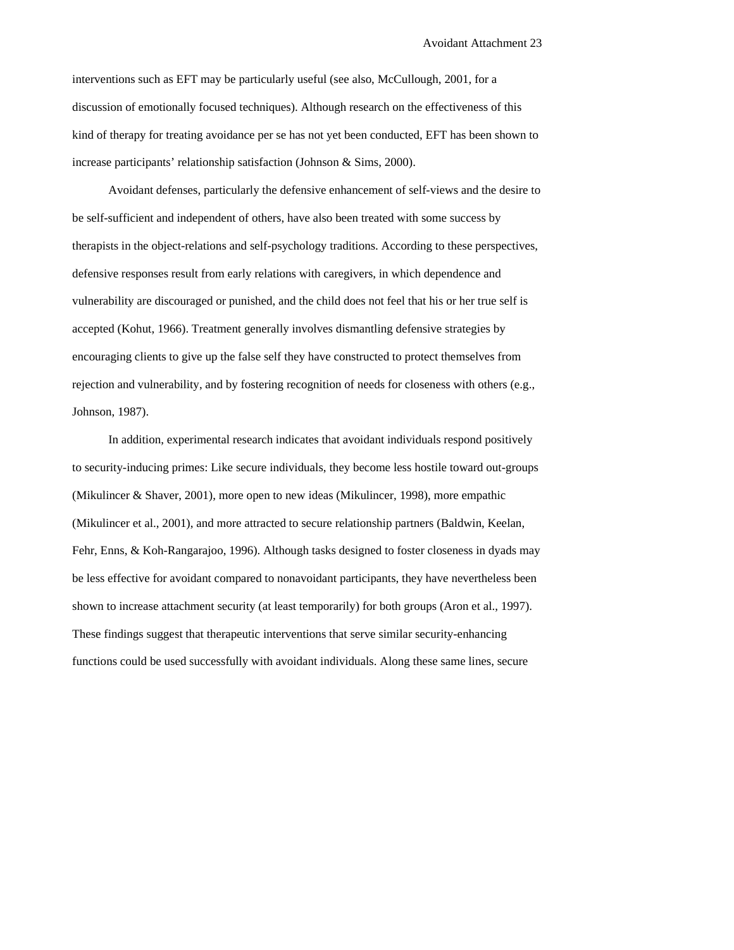interventions such as EFT may be particularly useful (see also, McCullough, 2001, for a discussion of emotionally focused techniques). Although research on the effectiveness of this kind of therapy for treating avoidance per se has not yet been conducted, EFT has been shown to increase participants' relationship satisfaction (Johnson & Sims, 2000).

Avoidant defenses, particularly the defensive enhancement of self-views and the desire to be self-sufficient and independent of others, have also been treated with some success by therapists in the object-relations and self-psychology traditions. According to these perspectives, defensive responses result from early relations with caregivers, in which dependence and vulnerability are discouraged or punished, and the child does not feel that his or her true self is accepted (Kohut, 1966). Treatment generally involves dismantling defensive strategies by encouraging clients to give up the false self they have constructed to protect themselves from rejection and vulnerability, and by fostering recognition of needs for closeness with others (e.g., Johnson, 1987).

In addition, experimental research indicates that avoidant individuals respond positively to security-inducing primes: Like secure individuals, they become less hostile toward out-groups (Mikulincer & Shaver, 2001), more open to new ideas (Mikulincer, 1998), more empathic (Mikulincer et al., 2001), and more attracted to secure relationship partners (Baldwin, Keelan, Fehr, Enns, & Koh-Rangarajoo, 1996). Although tasks designed to foster closeness in dyads may be less effective for avoidant compared to nonavoidant participants, they have nevertheless been shown to increase attachment security (at least temporarily) for both groups (Aron et al., 1997). These findings suggest that therapeutic interventions that serve similar security-enhancing functions could be used successfully with avoidant individuals. Along these same lines, secure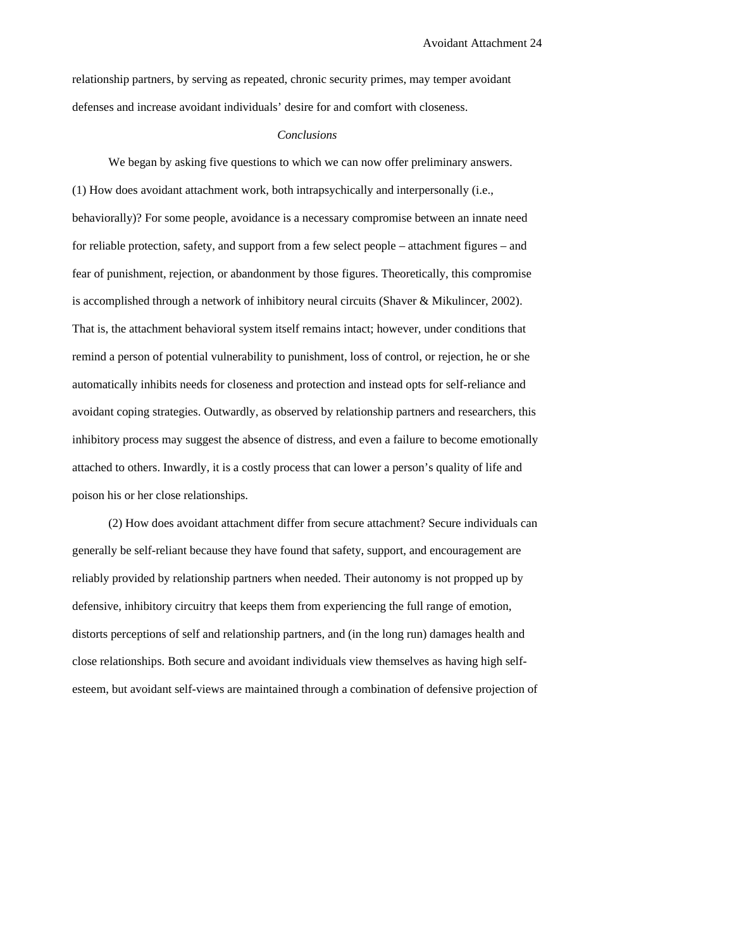relationship partners, by serving as repeated, chronic security primes, may temper avoidant defenses and increase avoidant individuals' desire for and comfort with closeness.

#### *Conclusions*

We began by asking five questions to which we can now offer preliminary answers. (1) How does avoidant attachment work, both intrapsychically and interpersonally (i.e., behaviorally)? For some people, avoidance is a necessary compromise between an innate need for reliable protection, safety, and support from a few select people – attachment figures – and fear of punishment, rejection, or abandonment by those figures. Theoretically, this compromise is accomplished through a network of inhibitory neural circuits (Shaver & Mikulincer, 2002). That is, the attachment behavioral system itself remains intact; however, under conditions that remind a person of potential vulnerability to punishment, loss of control, or rejection, he or she automatically inhibits needs for closeness and protection and instead opts for self-reliance and avoidant coping strategies. Outwardly, as observed by relationship partners and researchers, this inhibitory process may suggest the absence of distress, and even a failure to become emotionally attached to others. Inwardly, it is a costly process that can lower a person's quality of life and poison his or her close relationships.

(2) How does avoidant attachment differ from secure attachment? Secure individuals can generally be self-reliant because they have found that safety, support, and encouragement are reliably provided by relationship partners when needed. Their autonomy is not propped up by defensive, inhibitory circuitry that keeps them from experiencing the full range of emotion, distorts perceptions of self and relationship partners, and (in the long run) damages health and close relationships. Both secure and avoidant individuals view themselves as having high selfesteem, but avoidant self-views are maintained through a combination of defensive projection of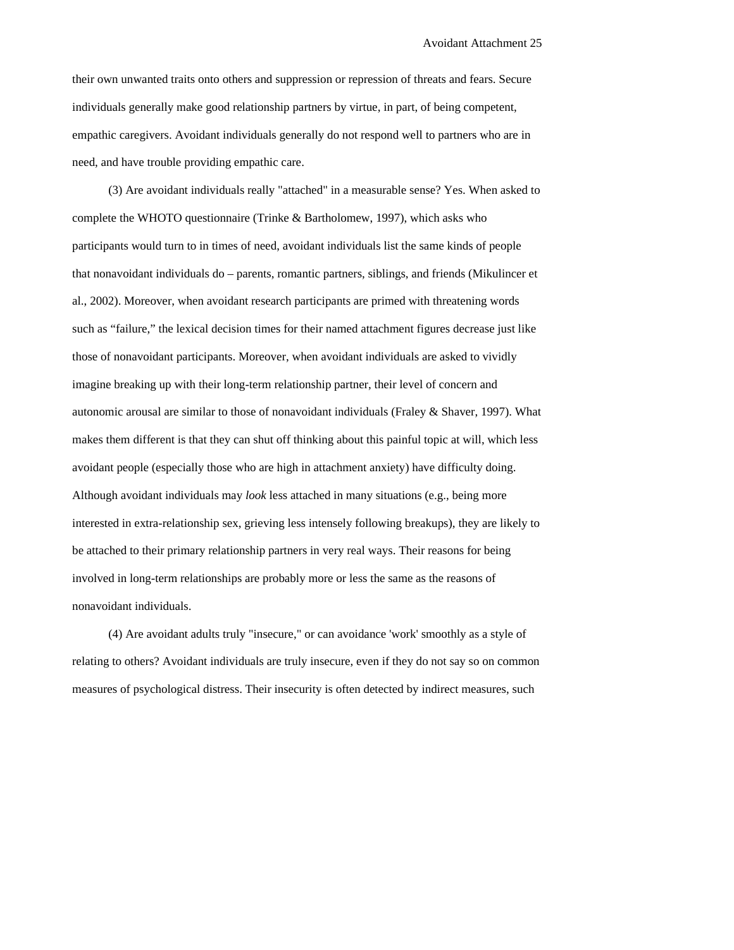their own unwanted traits onto others and suppression or repression of threats and fears. Secure individuals generally make good relationship partners by virtue, in part, of being competent, empathic caregivers. Avoidant individuals generally do not respond well to partners who are in need, and have trouble providing empathic care.

(3) Are avoidant individuals really "attached" in a measurable sense? Yes. When asked to complete the WHOTO questionnaire (Trinke & Bartholomew, 1997), which asks who participants would turn to in times of need, avoidant individuals list the same kinds of people that nonavoidant individuals do – parents, romantic partners, siblings, and friends (Mikulincer et al., 2002). Moreover, when avoidant research participants are primed with threatening words such as "failure," the lexical decision times for their named attachment figures decrease just like those of nonavoidant participants. Moreover, when avoidant individuals are asked to vividly imagine breaking up with their long-term relationship partner, their level of concern and autonomic arousal are similar to those of nonavoidant individuals (Fraley & Shaver, 1997). What makes them different is that they can shut off thinking about this painful topic at will, which less avoidant people (especially those who are high in attachment anxiety) have difficulty doing. Although avoidant individuals may *look* less attached in many situations (e.g., being more interested in extra-relationship sex, grieving less intensely following breakups), they are likely to be attached to their primary relationship partners in very real ways. Their reasons for being involved in long-term relationships are probably more or less the same as the reasons of nonavoidant individuals.

(4) Are avoidant adults truly "insecure," or can avoidance 'work' smoothly as a style of relating to others? Avoidant individuals are truly insecure, even if they do not say so on common measures of psychological distress. Their insecurity is often detected by indirect measures, such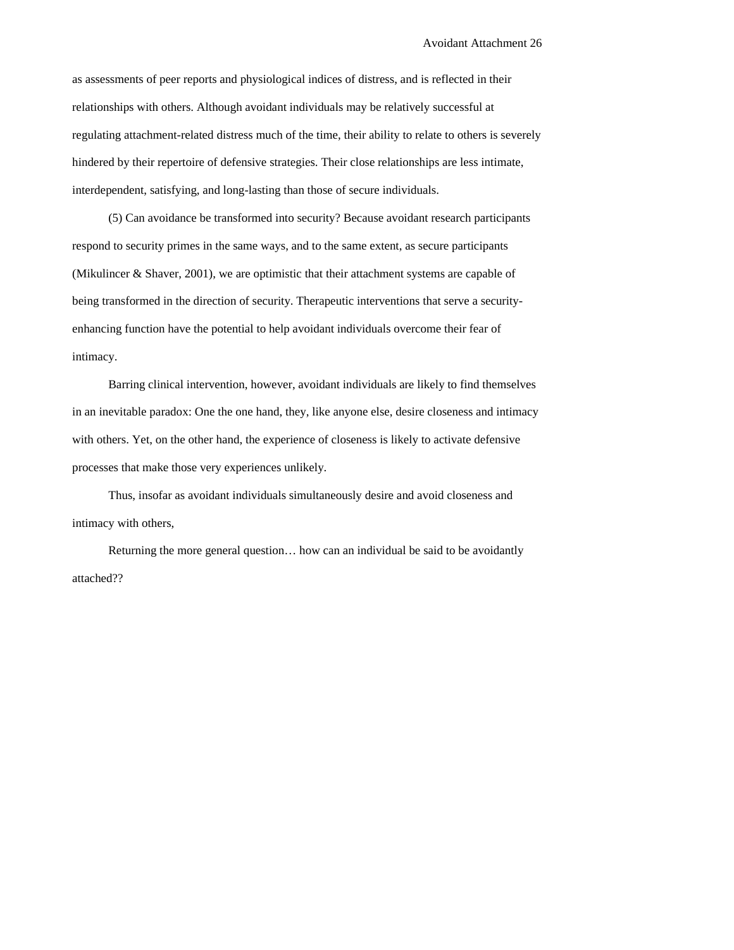as assessments of peer reports and physiological indices of distress, and is reflected in their relationships with others. Although avoidant individuals may be relatively successful at regulating attachment-related distress much of the time, their ability to relate to others is severely hindered by their repertoire of defensive strategies. Their close relationships are less intimate, interdependent, satisfying, and long-lasting than those of secure individuals.

(5) Can avoidance be transformed into security? Because avoidant research participants respond to security primes in the same ways, and to the same extent, as secure participants (Mikulincer & Shaver, 2001), we are optimistic that their attachment systems are capable of being transformed in the direction of security. Therapeutic interventions that serve a securityenhancing function have the potential to help avoidant individuals overcome their fear of intimacy.

Barring clinical intervention, however, avoidant individuals are likely to find themselves in an inevitable paradox: One the one hand, they, like anyone else, desire closeness and intimacy with others. Yet, on the other hand, the experience of closeness is likely to activate defensive processes that make those very experiences unlikely.

Thus, insofar as avoidant individuals simultaneously desire and avoid closeness and intimacy with others,

Returning the more general question… how can an individual be said to be avoidantly attached??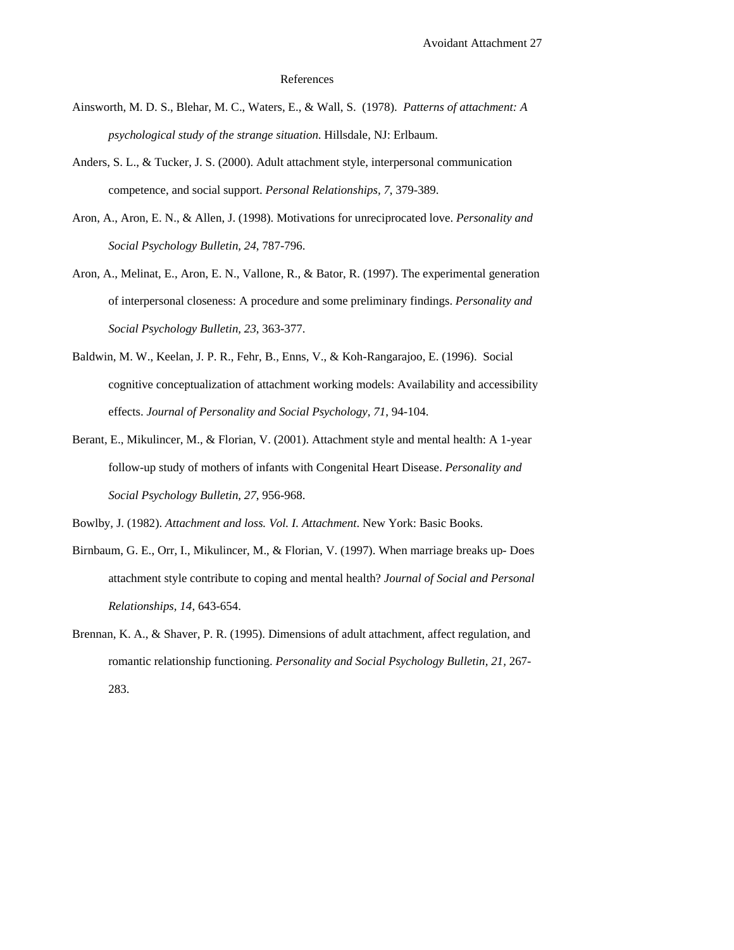### References

- Ainsworth, M. D. S., Blehar, M. C., Waters, E., & Wall, S. (1978). *Patterns of attachment: A psychological study of the strange situation*. Hillsdale, NJ: Erlbaum.
- Anders, S. L., & Tucker, J. S. (2000). Adult attachment style, interpersonal communication competence, and social support. *Personal Relationships, 7*, 379-389.
- Aron, A., Aron, E. N., & Allen, J. (1998). Motivations for unreciprocated love. *Personality and Social Psychology Bulletin, 24*, 787-796.
- Aron, A., Melinat, E., Aron, E. N., Vallone, R., & Bator, R. (1997). The experimental generation of interpersonal closeness: A procedure and some preliminary findings. *Personality and Social Psychology Bulletin, 23*, 363-377.
- Baldwin, M. W., Keelan, J. P. R., Fehr, B., Enns, V., & Koh-Rangarajoo, E. (1996). Social cognitive conceptualization of attachment working models: Availability and accessibility effects. *Journal of Personality and Social Psychology, 71*, 94-104.
- Berant, E., Mikulincer, M., & Florian, V. (2001). Attachment style and mental health: A 1-year follow-up study of mothers of infants with Congenital Heart Disease. *Personality and Social Psychology Bulletin, 27*, 956-968.

Bowlby, J. (1982). *Attachment and loss. Vol. I. Attachment*. New York: Basic Books.

- Birnbaum, G. E., Orr, I., Mikulincer, M., & Florian, V. (1997). When marriage breaks up- Does attachment style contribute to coping and mental health? *Journal of Social and Personal Relationships, 14*, 643-654.
- Brennan, K. A., & Shaver, P. R. (1995). Dimensions of adult attachment, affect regulation, and romantic relationship functioning. *Personality and Social Psychology Bulletin, 21,* 267- 283.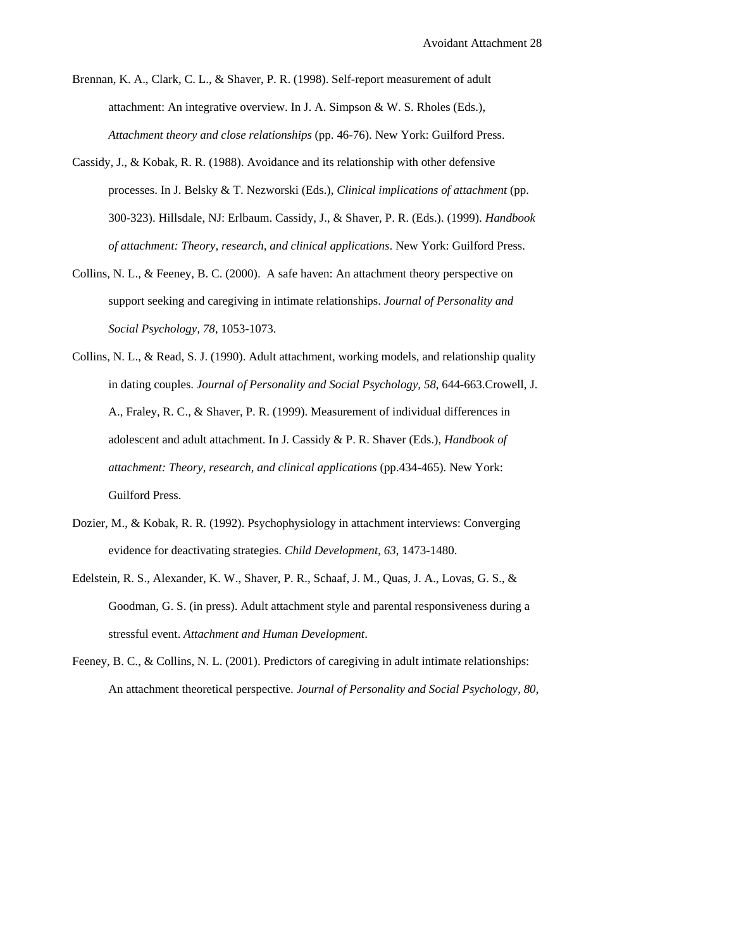- Brennan, K. A., Clark, C. L., & Shaver, P. R. (1998). Self-report measurement of adult attachment: An integrative overview. In J. A. Simpson & W. S. Rholes (Eds.), *Attachment theory and close relationships* (pp. 46-76). New York: Guilford Press.
- Cassidy, J., & Kobak, R. R. (1988). Avoidance and its relationship with other defensive processes. In J. Belsky & T. Nezworski (Eds.), *Clinical implications of attachment* (pp. 300-323). Hillsdale, NJ: Erlbaum. Cassidy, J., & Shaver, P. R. (Eds.). (1999). *Handbook of attachment: Theory, research, and clinical applications*. New York: Guilford Press.
- Collins, N. L., & Feeney, B. C. (2000). A safe haven: An attachment theory perspective on support seeking and caregiving in intimate relationships. *Journal of Personality and Social Psychology, 78*, 1053-1073.
- Collins, N. L., & Read, S. J. (1990). Adult attachment, working models, and relationship quality in dating couples. *Journal of Personality and Social Psychology, 58*, 644-663.Crowell, J. A., Fraley, R. C., & Shaver, P. R. (1999). Measurement of individual differences in adolescent and adult attachment. In J. Cassidy & P. R. Shaver (Eds.), *Handbook of attachment: Theory, research, and clinical applications* (pp.434-465). New York: Guilford Press.
- Dozier, M., & Kobak, R. R. (1992). Psychophysiology in attachment interviews: Converging evidence for deactivating strategies. *Child Development, 63*, 1473-1480.
- Edelstein, R. S., Alexander, K. W., Shaver, P. R., Schaaf, J. M., Quas, J. A., Lovas, G. S., & Goodman, G. S. (in press). Adult attachment style and parental responsiveness during a stressful event. *Attachment and Human Development*.
- Feeney, B. C., & Collins, N. L. (2001). Predictors of caregiving in adult intimate relationships: An attachment theoretical perspective. *Journal of Personality and Social Psychology, 80*,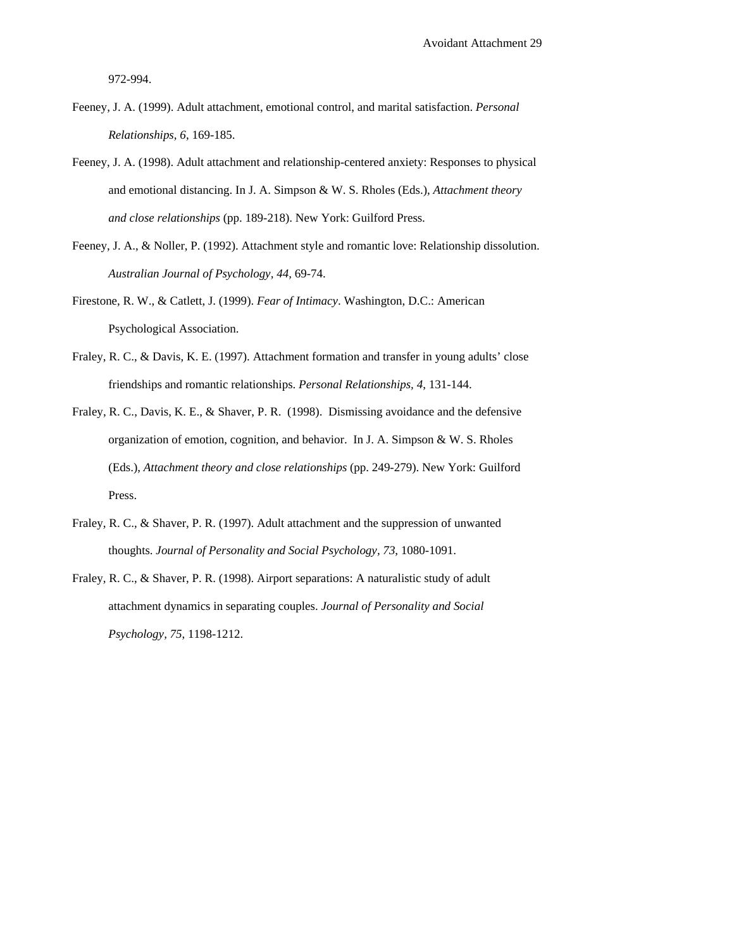972-994.

- Feeney, J. A. (1999). Adult attachment, emotional control, and marital satisfaction. *Personal Relationships, 6*, 169-185.
- Feeney, J. A. (1998). Adult attachment and relationship-centered anxiety: Responses to physical and emotional distancing. In J. A. Simpson & W. S. Rholes (Eds.), *Attachment theory and close relationships* (pp. 189-218). New York: Guilford Press.
- Feeney, J. A., & Noller, P. (1992). Attachment style and romantic love: Relationship dissolution. *Australian Journal of Psychology, 44*, 69-74.
- Firestone, R. W., & Catlett, J. (1999). *Fear of Intimacy*. Washington, D.C.: American Psychological Association.
- Fraley, R. C., & Davis, K. E. (1997). Attachment formation and transfer in young adults' close friendships and romantic relationships. *Personal Relationships, 4*, 131-144.
- Fraley, R. C., Davis, K. E., & Shaver, P. R. (1998). Dismissing avoidance and the defensive organization of emotion, cognition, and behavior. In J. A. Simpson & W. S. Rholes (Eds.), *Attachment theory and close relationships* (pp. 249-279). New York: Guilford Press.
- Fraley, R. C., & Shaver, P. R. (1997). Adult attachment and the suppression of unwanted thoughts. *Journal of Personality and Social Psychology, 73*, 1080-1091.
- Fraley, R. C., & Shaver, P. R. (1998). Airport separations: A naturalistic study of adult attachment dynamics in separating couples. *Journal of Personality and Social Psychology, 75*, 1198-1212.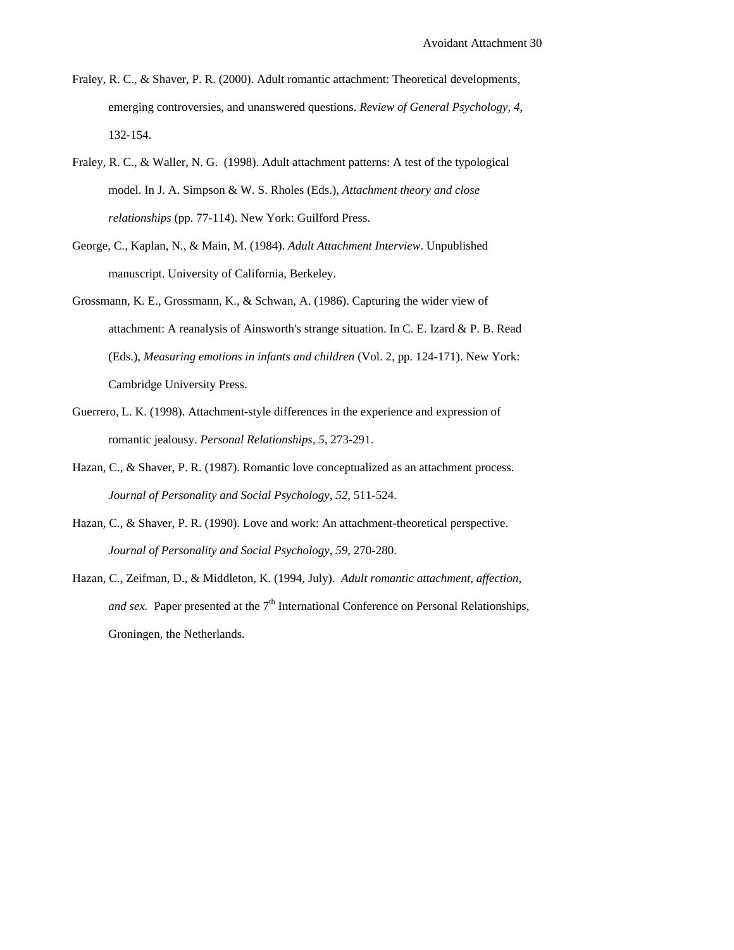- Fraley, R. C., & Shaver, P. R. (2000). Adult romantic attachment: Theoretical developments, emerging controversies, and unanswered questions. *Review of General Psychology, 4*, 132-154.
- Fraley, R. C., & Waller, N. G. (1998). Adult attachment patterns: A test of the typological model. In J. A. Simpson & W. S. Rholes (Eds.), *Attachment theory and close relationships* (pp. 77-114). New York: Guilford Press.
- George, C., Kaplan, N., & Main, M. (1984). *Adult Attachment Interview*. Unpublished manuscript. University of California, Berkeley.
- Grossmann, K. E., Grossmann, K., & Schwan, A. (1986). Capturing the wider view of attachment: A reanalysis of Ainsworth's strange situation. In C. E. Izard & P. B. Read (Eds.), *Measuring emotions in infants and children* (Vol. 2, pp. 124-171). New York: Cambridge University Press.
- Guerrero, L. K. (1998). Attachment-style differences in the experience and expression of romantic jealousy. *Personal Relationships, 5*, 273-291.
- Hazan, C., & Shaver, P. R. (1987). Romantic love conceptualized as an attachment process. *Journal of Personality and Social Psychology, 52*, 511-524.
- Hazan, C., & Shaver, P. R. (1990). Love and work: An attachment-theoretical perspective. *Journal of Personality and Social Psychology, 59*, 270-280.
- Hazan, C., Zeifman, D., & Middleton, K. (1994, July). *Adult romantic attachment, affection, and sex.* Paper presented at the  $7<sup>th</sup>$  International Conference on Personal Relationships, Groningen, the Netherlands.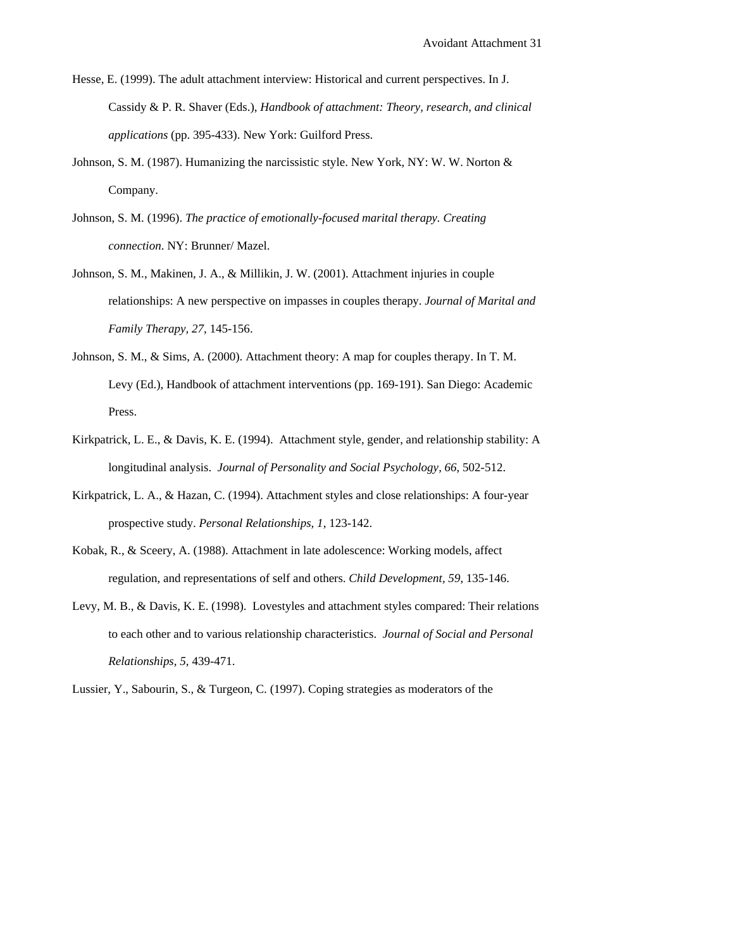- Hesse, E. (1999). The adult attachment interview: Historical and current perspectives. In J. Cassidy & P. R. Shaver (Eds.), *Handbook of attachment: Theory, research, and clinical applications* (pp. 395-433). New York: Guilford Press.
- Johnson, S. M. (1987). Humanizing the narcissistic style. New York, NY: W. W. Norton & Company.
- Johnson, S. M. (1996). *The practice of emotionally-focused marital therapy. Creating connection*. NY: Brunner/ Mazel.
- Johnson, S. M., Makinen, J. A., & Millikin, J. W. (2001). Attachment injuries in couple relationships: A new perspective on impasses in couples therapy. *Journal of Marital and Family Therapy, 27*, 145-156.
- Johnson, S. M., & Sims, A. (2000). Attachment theory: A map for couples therapy. In T. M. Levy (Ed.), Handbook of attachment interventions (pp. 169-191). San Diego: Academic Press.
- Kirkpatrick, L. E., & Davis, K. E. (1994). Attachment style, gender, and relationship stability: A longitudinal analysis. *Journal of Personality and Social Psychology, 66*, 502-512.
- Kirkpatrick, L. A., & Hazan, C. (1994). Attachment styles and close relationships: A four-year prospective study. *Personal Relationships, 1*, 123-142.
- Kobak, R., & Sceery, A. (1988). Attachment in late adolescence: Working models, affect regulation, and representations of self and others. *Child Development, 59*, 135-146.
- Levy, M. B., & Davis, K. E. (1998). Lovestyles and attachment styles compared: Their relations to each other and to various relationship characteristics. *Journal of Social and Personal Relationships, 5*, 439-471.
- Lussier, Y., Sabourin, S., & Turgeon, C. (1997). Coping strategies as moderators of the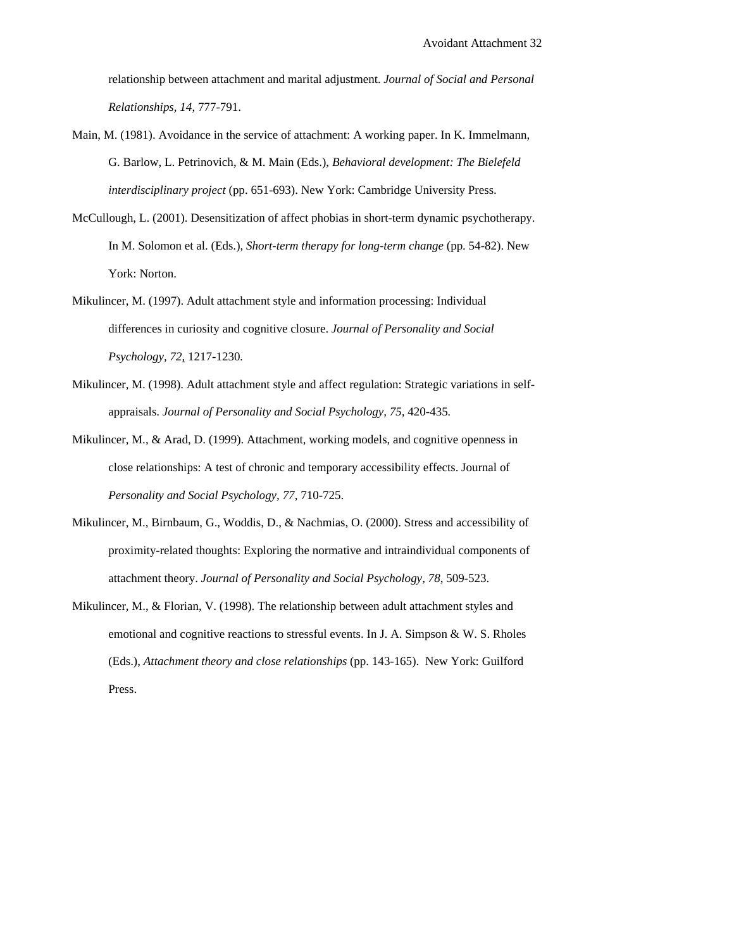relationship between attachment and marital adjustment. *Journal of Social and Personal Relationships, 14*, 777-791.

- Main, M. (1981). Avoidance in the service of attachment: A working paper. In K. Immelmann, G. Barlow, L. Petrinovich, & M. Main (Eds.), *Behavioral development: The Bielefeld interdisciplinary project* (pp. 651-693). New York: Cambridge University Press.
- McCullough, L. (2001). Desensitization of affect phobias in short-term dynamic psychotherapy. In M. Solomon et al. (Eds.), *Short-term therapy for long-term change* (pp. 54-82). New York: Norton.
- Mikulincer, M. (1997). Adult attachment style and information processing: Individual differences in curiosity and cognitive closure. *Journal of Personality and Social Psychology, 72*, 1217-1230*.*
- Mikulincer, M. (1998). Adult attachment style and affect regulation: Strategic variations in selfappraisals. *Journal of Personality and Social Psychology, 75,* 420-435*.*
- Mikulincer, M., & Arad, D. (1999). Attachment, working models, and cognitive openness in close relationships: A test of chronic and temporary accessibility effects. Journal of *Personality and Social Psychology, 77*, 710-725.
- Mikulincer, M., Birnbaum, G., Woddis, D., & Nachmias, O. (2000). Stress and accessibility of proximity-related thoughts: Exploring the normative and intraindividual components of attachment theory. *Journal of Personality and Social Psychology, 78*, 509-523.
- Mikulincer, M., & Florian, V. (1998). The relationship between adult attachment styles and emotional and cognitive reactions to stressful events. In J. A. Simpson & W. S. Rholes (Eds.), *Attachment theory and close relationships* (pp. 143-165). New York: Guilford Press.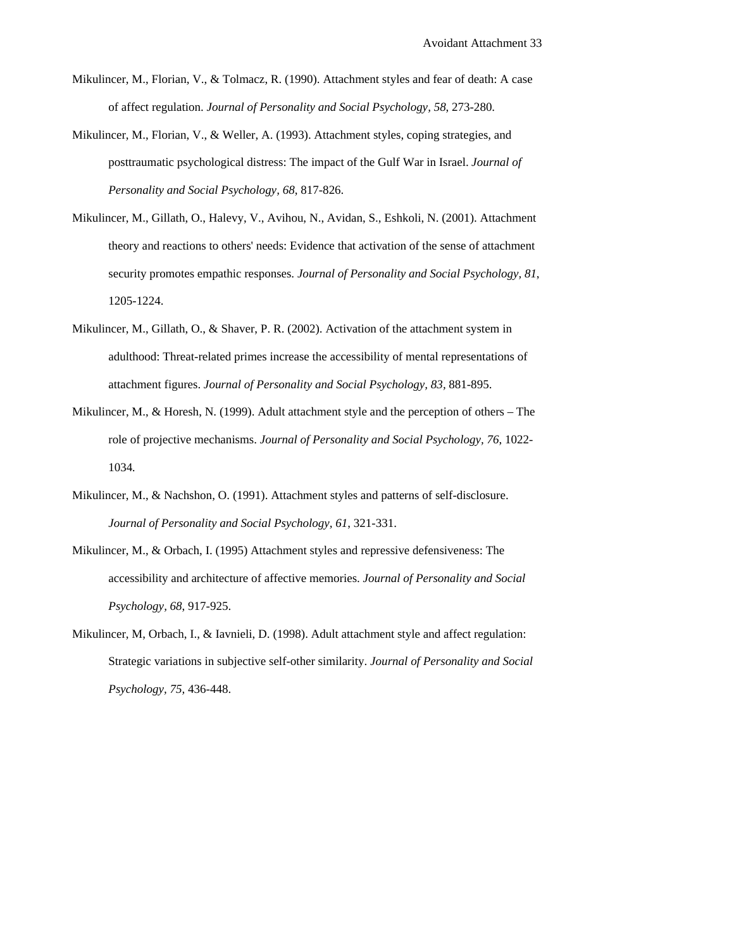- Mikulincer, M., Florian, V., & Tolmacz, R. (1990). Attachment styles and fear of death: A case of affect regulation. *Journal of Personality and Social Psychology, 58*, 273-280.
- Mikulincer, M., Florian, V., & Weller, A. (1993). Attachment styles, coping strategies, and posttraumatic psychological distress: The impact of the Gulf War in Israel. *Journal of Personality and Social Psychology, 68*, 817-826.
- Mikulincer, M., Gillath, O., Halevy, V., Avihou, N., Avidan, S., Eshkoli, N. (2001). Attachment theory and reactions to others' needs: Evidence that activation of the sense of attachment security promotes empathic responses. *Journal of Personality and Social Psychology, 81*, 1205-1224.
- Mikulincer, M., Gillath, O., & Shaver, P. R. (2002). Activation of the attachment system in adulthood: Threat-related primes increase the accessibility of mental representations of attachment figures. *Journal of Personality and Social Psychology, 83,* 881-895.
- Mikulincer, M., & Horesh, N. (1999). Adult attachment style and the perception of others The role of projective mechanisms. *Journal of Personality and Social Psychology, 76*, 1022- 1034*.*
- Mikulincer, M., & Nachshon, O. (1991). Attachment styles and patterns of self-disclosure. *Journal of Personality and Social Psychology, 61*, 321-331.
- Mikulincer, M., & Orbach, I. (1995) Attachment styles and repressive defensiveness: The accessibility and architecture of affective memories. *Journal of Personality and Social Psychology, 68*, 917-925.
- Mikulincer, M, Orbach, I., & Iavnieli, D. (1998). Adult attachment style and affect regulation: Strategic variations in subjective self-other similarity. *Journal of Personality and Social Psychology, 75,* 436-448.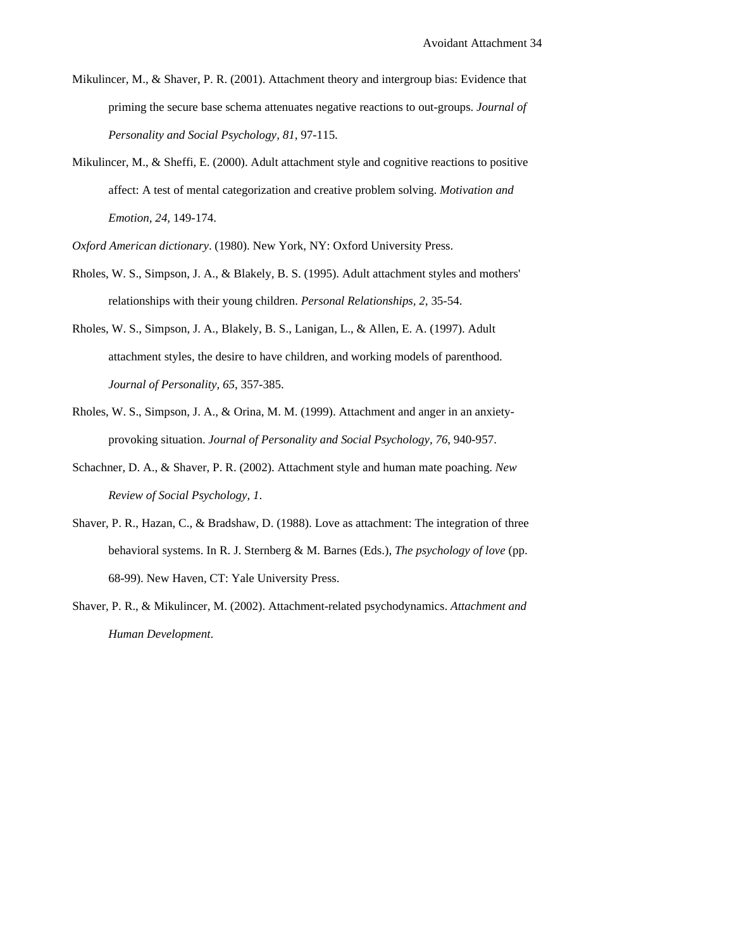- Mikulincer, M., & Shaver, P. R. (2001). Attachment theory and intergroup bias: Evidence that priming the secure base schema attenuates negative reactions to out-groups. *Journal of Personality and Social Psychology, 81*, 97-115.
- Mikulincer, M., & Sheffi, E. (2000). Adult attachment style and cognitive reactions to positive affect: A test of mental categorization and creative problem solving. *Motivation and Emotion, 24,* 149-174.
- *Oxford American dictionary*. (1980). New York, NY: Oxford University Press.
- Rholes, W. S., Simpson, J. A., & Blakely, B. S. (1995). Adult attachment styles and mothers' relationships with their young children. *Personal Relationships, 2*, 35-54.
- Rholes, W. S., Simpson, J. A., Blakely, B. S., Lanigan, L., & Allen, E. A. (1997). Adult attachment styles, the desire to have children, and working models of parenthood. *Journal of Personality, 65*, 357-385.
- Rholes, W. S., Simpson, J. A., & Orina, M. M. (1999). Attachment and anger in an anxietyprovoking situation. *Journal of Personality and Social Psychology, 76*, 940-957.
- Schachner, D. A., & Shaver, P. R. (2002). Attachment style and human mate poaching. *New Review of Social Psychology, 1*.
- Shaver, P. R., Hazan, C., & Bradshaw, D. (1988). Love as attachment: The integration of three behavioral systems. In R. J. Sternberg & M. Barnes (Eds.), *The psychology of love* (pp. 68-99). New Haven, CT: Yale University Press.
- Shaver, P. R., & Mikulincer, M. (2002). Attachment-related psychodynamics. *Attachment and Human Development*.